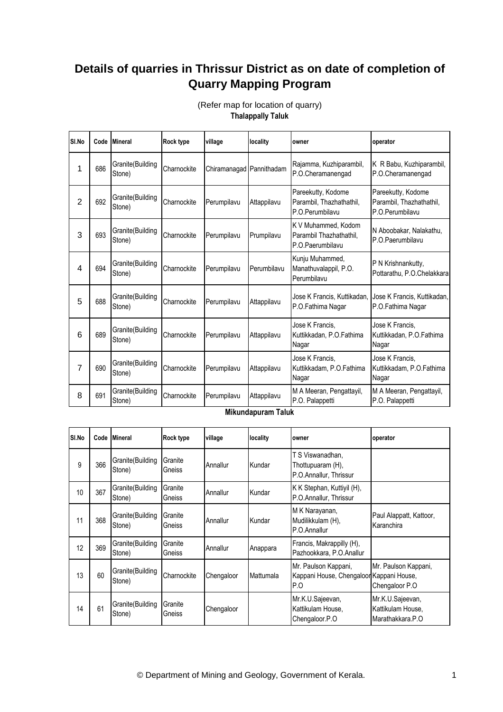## **Details of quarries in Thrissur District as on date of completion of Quarry Mapping Program**

| SI.No          |     | Code Mineral               | <b>Rock type</b> | village                  | locality    | owner                                                              | operator                                                          |
|----------------|-----|----------------------------|------------------|--------------------------|-------------|--------------------------------------------------------------------|-------------------------------------------------------------------|
| 1              | 686 | Granite(Building<br>Stone) | Charnockite      | Chiramanagad Pannithadam |             | Rajamma, Kuzhiparambil,<br>P.O.Cheramanengad                       | K R Babu, Kuzhiparambil,<br>P.O.Cheramanengad                     |
| $\overline{2}$ | 692 | Granite(Building<br>Stone) | Charnockite      | Perumpilavu              | Attappilavu | Pareekutty, Kodome<br>Parambil, Thazhathathil,<br>P.O.Perumbilavu  | Pareekutty, Kodome<br>Parambil, Thazhathathil,<br>P.O.Perumbilavu |
| 3              | 693 | Granite(Building<br>Stone) | Charnockite      | Perumpilavu              | Prumpilavu  | K V Muhammed, Kodom<br>Parambil Thazhathathil,<br>P.O.Paerumbilavu | N Aboobakar, Nalakathu,<br>P.O.Paerumbilavu                       |
| 4              | 694 | Granite(Building<br>Stone) | Charnockite      | Perumpilavu              | Perumbilavu | Kunju Muhammed,<br>Manathuvalappil, P.O.<br>Perumbilavu            | P N Krishnankutty,<br>Pottarathu, P.O.Chelakkara                  |
| 5              | 688 | Granite(Building<br>Stone) | Charnockite      | Perumpilavu              | Attappilavu | Jose K Francis, Kuttikadan,<br>P.O.Fathima Nagar                   | Jose K Francis, Kuttikadan,<br>P.O.Fathima Nagar                  |
| 6              | 689 | Granite(Building<br>Stone) | Charnockite      | Perumpilavu              | Attappilavu | Jose K Francis.<br>Kuttikkadan, P.O.Fathima<br>Nagar               | Jose K Francis,<br>Kuttikkadan, P.O.Fathima<br>Nagar              |
| 7              | 690 | Granite(Building<br>Stone) | Charnockite      | Perumpilavu              | Attappilavu | Jose K Francis,<br>Kuttikkadam, P.O.Fathima<br>Nagar               | Jose K Francis,<br>Kuttikkadam, P.O.Fathima<br>Nagar              |
| 8              | 691 | Granite(Building<br>Stone) | Charnockite      | Perumpilavu              | Attappilavu | M A Meeran, Pengattayil,<br>P.O. Palappetti                        | M A Meeran, Pengattayil,<br>P.O. Palappetti                       |

**Thalappally Taluk** (Refer map for location of quarry)

**Mikundapuram Taluk**

| SI.No |     | Code Mineral                | <b>Rock type</b>  | village    | locality  | owner                                                                   | operator                                                  |
|-------|-----|-----------------------------|-------------------|------------|-----------|-------------------------------------------------------------------------|-----------------------------------------------------------|
| 9     | 366 | Granite(Building<br>Stone)  | Granite<br>Gneiss | Annallur   | Kundar    | T S Viswanadhan.<br>Thottupuaram (H),<br>P.O.Annallur, Thrissur         |                                                           |
| 10    | 367 | Granite(Building<br>Stone)  | Granite<br>Gneiss | Annallur   | Kundar    | K K Stephan, Kuttiyil (H),<br>P.O.Annallur, Thrissur                    |                                                           |
| 11    | 368 | Granite(Building<br>Stone)  | Granite<br>Gneiss | Annallur   | Kundar    | M K Narayanan,<br>Mudilikkulam (H),<br>P.O.Annallur                     | Paul Alappatt, Kattoor,<br>Karanchira                     |
| 12    | 369 | Granite(Building<br>Stone)  | Granite<br>Gneiss | Annallur   | Anappara  | Francis, Makrappilly (H),<br>Pazhookkara, P.O.Anallur                   |                                                           |
| 13    | 60  | Granite (Building<br>Stone) | Charnockite       | Chengaloor | Mattumala | Mr. Paulson Kappani,<br>Kappani House, Chengaloon Kappani House,<br>P.O | Mr. Paulson Kappani,<br>Chengaloor P.O                    |
| 14    | 61  | Granite(Building<br>Stone)  | Granite<br>Gneiss | Chengaloor |           | Mr.K.U.Sajeevan,<br>Kattikulam House,<br>Chengaloor.P.O                 | Mr.K.U.Sajeevan,<br>Kattikulam House,<br>Marathakkara.P.O |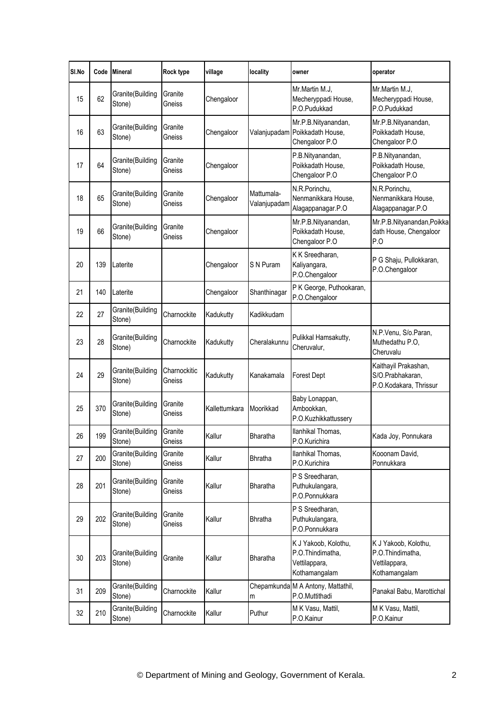| SI.No | Code | <b>Mineral</b>             | Rock type              | village       | locality                   | owner                                                                      | operator                                                                   |
|-------|------|----------------------------|------------------------|---------------|----------------------------|----------------------------------------------------------------------------|----------------------------------------------------------------------------|
| 15    | 62   | Granite(Building<br>Stone) | Granite<br>Gneiss      | Chengaloor    |                            | Mr.Martin M.J.<br>Mecheryppadi House,<br>P.O.Pudukkad                      | Mr.Martin M.J,<br>Mecheryppadi House,<br>P.O.Pudukkad                      |
| 16    | 63   | Granite(Building<br>Stone) | Granite<br>Gneiss      | Chengaloor    | Valanjupadam               | Mr.P.B.Nityanandan,<br>Poikkadath House,<br>Chengaloor P.O                 | Mr.P.B.Nityanandan,<br>Poikkadath House,<br>Chengaloor P.O                 |
| 17    | 64   | Granite(Building<br>Stone) | Granite<br>Gneiss      | Chengaloor    |                            | P.B.Nityanandan,<br>Poikkadath House,<br>Chengaloor P.O                    | P.B.Nityanandan,<br>Poikkadath House,<br>Chengaloor P.O                    |
| 18    | 65   | Granite(Building<br>Stone) | Granite<br>Gneiss      | Chengaloor    | Mattumala-<br>Valanjupadam | N.R.Porinchu,<br>Nenmanikkara House,<br>Alagappanagar.P.O                  | N.R.Porinchu,<br>Nenmanikkara House,<br>Alagappanagar.P.O                  |
| 19    | 66   | Granite(Building<br>Stone) | Granite<br>Gneiss      | Chengaloor    |                            | Mr.P.B.Nityanandan,<br>Poikkadath House,<br>Chengaloor P.O                 | Mr.P.B.Nityanandan, Poikka<br>dath House, Chengaloor<br>P.O                |
| 20    | 139  | Laterite                   |                        | Chengaloor    | S N Puram                  | K K Sreedharan,<br>Kaliyangara,<br>P.O.Chengaloor                          | P G Shaju, Pullokkaran,<br>P.O.Chengaloor                                  |
| 21    | 140  | Laterite                   |                        | Chengaloor    | Shanthinagar               | P K George, Puthookaran,<br>P.O.Chengaloor                                 |                                                                            |
| 22    | 27   | Granite(Building<br>Stone) | Charnockite            | Kadukutty     | Kadikkudam                 |                                                                            |                                                                            |
| 23    | 28   | Granite(Building<br>Stone) | Charnockite            | Kadukutty     | Cheralakunnu               | Pulikkal Hamsakutty,<br>Cheruvalur,                                        | N.P.Venu, S/o.Paran,<br>Muthedathu P.O,<br>Cheruvalu                       |
| 24    | 29   | Granite(Building<br>Stone) | Charnockitic<br>Gneiss | Kadukutty     | Kanakamala                 | <b>Forest Dept</b>                                                         | Kaithayil Prakashan,<br>S/O.Prabhakaran,<br>P.O.Kodakara, Thrissur         |
| 25    | 370  | Granite(Building<br>Stone) | Granite<br>Gneiss      | Kallettumkara | Moorikkad                  | Baby Lonappan,<br>Ambookkan,<br>P.O.Kuzhikkattussery                       |                                                                            |
| 26    | 199  | Granite(Building<br>Stone) | Granite<br>Gneiss      | Kallur        | Bharatha                   | Ilanhikal Thomas,<br>P.O.Kurichira                                         | Kada Joy, Ponnukara                                                        |
| 27    | 200  | Granite(Building<br>Stone) | Granite<br>Gneiss      | Kallur        | <b>Bhratha</b>             | llanhikal Thomas,<br>P.O.Kurichira                                         | Kooonam David,<br>Ponnukkara                                               |
| 28    | 201  | Granite(Building<br>Stone) | Granite<br>Gneiss      | Kallur        | <b>Bharatha</b>            | P S Sreedharan,<br>Puthukulangara,<br>P.O.Ponnukkara                       |                                                                            |
| 29    | 202  | Granite(Building<br>Stone) | Granite<br>Gneiss      | Kallur        | <b>Bhratha</b>             | P S Sreedharan,<br>Puthukulangara,<br>P.O.Ponnukkara                       |                                                                            |
| 30    | 203  | Granite(Building<br>Stone) | Granite                | Kallur        | Bharatha                   | K J Yakoob, Kolothu,<br>P.O.Thindimatha,<br>Vettilappara,<br>Kothamangalam | K J Yakoob, Kolothu,<br>P.O.Thindimatha,<br>Vettilappara,<br>Kothamangalam |
| 31    | 209  | Granite(Building<br>Stone) | Charnockite            | Kallur        | m                          | Chepamkunda M A Antony, Mattathil,<br>P.O.Muttithadi                       | Panakal Babu, Marottichal                                                  |
| 32    | 210  | Granite(Building<br>Stone) | Charnockite            | Kallur        | Puthur                     | M K Vasu, Mattil,<br>P.O.Kainur                                            | M K Vasu, Mattil,<br>P.O.Kainur                                            |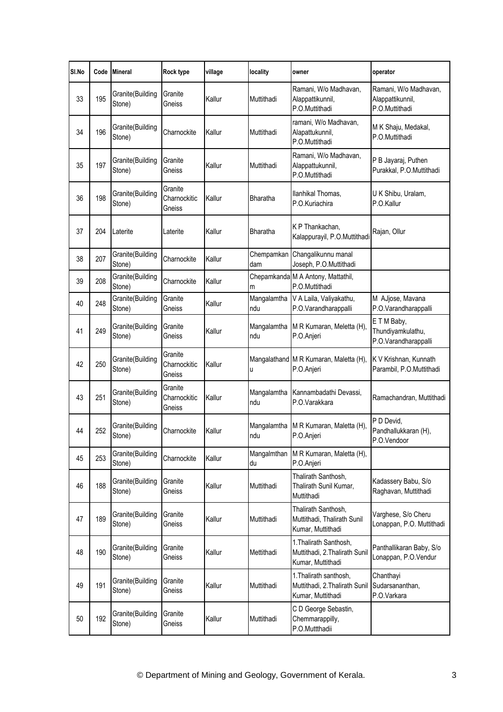| SI.No | Code | <b>Mineral</b>             | Rock type                         | village | locality           | owner                                                                         | operator                                                    |
|-------|------|----------------------------|-----------------------------------|---------|--------------------|-------------------------------------------------------------------------------|-------------------------------------------------------------|
| 33    | 195  | Granite(Building<br>Stone) | Granite<br>Gneiss                 | Kallur  | Muttithadi         | Ramani, W/o Madhavan,<br>Alappattikunnil,<br>P.O.Muttithadi                   | Ramani, W/o Madhavan,<br>Alappattikunnil,<br>P.O.Muttithadi |
| 34    | 196  | Granite(Building<br>Stone) | Charnockite                       | Kallur  | Muttithadi         | ramani, W/o Madhavan,<br>Alapattukunnil,<br>P.O.Muttithadi                    | M K Shaju, Medakal,<br>P.O.Muttithadi                       |
| 35    | 197  | Granite(Building<br>Stone) | Granite<br>Gneiss                 | Kallur  | Muttithadi         | Ramani, W/o Madhavan,<br>Alappattukunnil,<br>P.O.Muttithadi                   | P B Jayaraj, Puthen<br>Purakkal, P.O.Muttithadi             |
| 36    | 198  | Granite(Building<br>Stone) | Granite<br>Charnockitic<br>Gneiss | Kallur  | <b>Bharatha</b>    | llanhikal Thomas,<br>P.O.Kuriachira                                           | U K Shibu, Uralam,<br>P.O.Kallur                            |
| 37    | 204  | Laterite                   | Laterite                          | Kallur  | Bharatha           | K P Thankachan,<br>Kalappurayil, P.O.Muttithadi                               | Rajan, Ollur                                                |
| 38    | 207  | Granite(Building<br>Stone) | Charnockite                       | Kallur  | Chempamkan<br>dam  | Changalikunnu manal<br>Joseph, P.O.Muttithadi                                 |                                                             |
| 39    | 208  | Granite(Building<br>Stone) | Charnockite                       | Kallur  | m                  | Chepamkanda M A Antony, Mattathil,<br>P.O.Muttithadi                          |                                                             |
| 40    | 248  | Granite(Building<br>Stone) | Granite<br>Gneiss                 | Kallur  | Mangalamtha<br>ndu | V A Laila, Valiyakathu,<br>P.O.Varandharappalli                               | M AJjose, Mavana<br>P.O.Varandharappalli                    |
| 41    | 249  | Granite(Building<br>Stone) | Granite<br>Gneiss                 | Kallur  | Mangalamtha<br>ndu | M R Kumaran, Meletta (H),<br>P.O.Anjeri                                       | ETM Baby,<br>Thundiyamkulathu,<br>P.O.Varandharappalli      |
| 42    | 250  | Granite(Building<br>Stone) | Granite<br>Charnockitic<br>Gneiss | Kallur  | Π                  | Mangalathand M R Kumaran, Maletta (H),<br>P.O.Anjeri                          | K V Krishnan, Kunnath<br>Parambil, P.O.Muttithadi           |
| 43    | 251  | Granite(Building<br>Stone) | Granite<br>Charnockitic<br>Gneiss | Kallur  | Mangalamtha<br>ndu | Kannambadathi Devassi,<br>P.O.Varakkara                                       | Ramachandran, Muttithadi                                    |
| 44    | 252  | Granite(Building<br>Stone) | Charnockite                       | Kallur  | Mangalamtha<br>ndu | M R Kumaran, Maletta (H),<br>P.O.Anjeri                                       | P D Devid,<br>Pandhallukkaran (H),<br>P.O.Vendoor           |
| 45    | 253  | Granite(Building<br>Stone) | Charnockite                       | Kallur  | Mangalmthan<br>du  | M R Kumaran, Maletta (H),<br>P.O.Anjeri                                       |                                                             |
| 46    | 188  | Granite(Building<br>Stone) | Granite<br>Gneiss                 | Kallur  | Muttithadi         | Thalirath Santhosh,<br>Thalirath Sunil Kumar,<br>Muttithadi                   | Kadassery Babu, S/o<br>Raghavan, Muttithadi                 |
| 47    | 189  | Granite(Building<br>Stone) | Granite<br>Gneiss                 | Kallur  | Muttithadi         | Thalirath Santhosh,<br>Muttithadi, Thalirath Sunil<br>Kumar, Muttithadi       | Varghese, S/o Cheru<br>Lonappan, P.O. Muttithadi            |
| 48    | 190  | Granite(Building<br>Stone) | Granite<br>Gneiss                 | Kallur  | Mettithadi         | 1. Thalirath Santhosh,<br>Muttithadi, 2. Thalirath Sunil<br>Kumar, Muttithadi | Panthallikaran Baby, S/o<br>Lonappan, P.O.Vendur            |
| 49    | 191  | Granite(Building<br>Stone) | Granite<br>Gneiss                 | Kallur  | Muttithadi         | 1. Thalirath santhosh,<br>Muttithadi, 2. Thalirath Sunil<br>Kumar, Muttithadi | Chanthayi<br>Sudarsananthan,<br>P.O.Varkara                 |
| 50    | 192  | Granite(Building<br>Stone) | Granite<br>Gneiss                 | Kallur  | Muttithadi         | C D George Sebastin,<br>Chemmarappilly,<br>P.O.Muttthadii                     |                                                             |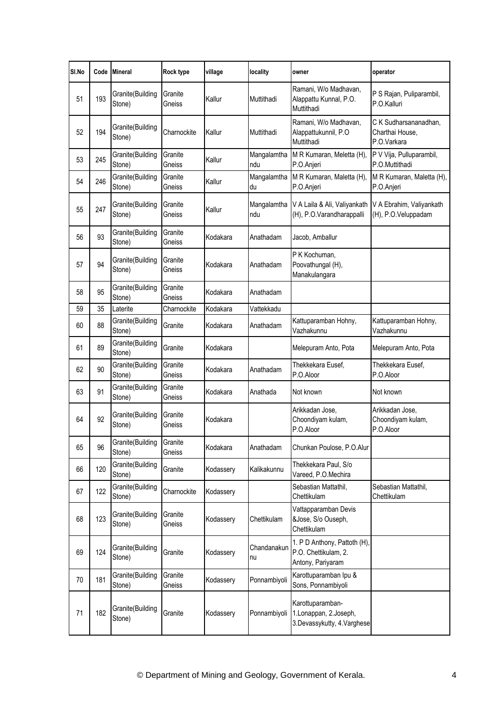| SI.No | Code | <b>Mineral</b>             | Rock type         | village   | locality           | owner                                                                     | operator                                                |
|-------|------|----------------------------|-------------------|-----------|--------------------|---------------------------------------------------------------------------|---------------------------------------------------------|
| 51    | 193  | Granite(Building<br>Stone) | Granite<br>Gneiss | Kallur    | Muttithadi         | Ramani, W/o Madhavan,<br>Alappattu Kunnal, P.O.<br>Muttithadi             | P S Rajan, Puliparambil,<br>P.O.Kalluri                 |
| 52    | 194  | Granite(Building<br>Stone) | Charnockite       | Kallur    | Muttithadi         | Ramani, W/o Madhavan,<br>Alappattukunnil, P.O<br>Muttithadi               | C K Sudharsananadhan,<br>Charthai House,<br>P.O.Varkara |
| 53    | 245  | Granite(Building<br>Stone) | Granite<br>Gneiss | Kallur    | Mangalamtha<br>ndu | M R Kumaran, Meletta (H),<br>P.O.Anjeri                                   | P V Vija, Pulluparambil,<br>P.O.Muttithadi              |
| 54    | 246  | Granite(Building<br>Stone) | Granite<br>Gneiss | Kallur    | Mangalamtha<br>du  | M R Kumaran, Maletta (H),<br>P.O.Anjeri                                   | M R Kumaran, Maletta (H),<br>P.O.Anjeri                 |
| 55    | 247  | Granite(Building<br>Stone) | Granite<br>Gneiss | Kallur    | Mangalamtha<br>ndu | V A Laila & Ali, Valiyankath<br>(H), P.O.Varandharappalli                 | V A Ebrahim, Valiyankath<br>(H), P.O.Veluppadam         |
| 56    | 93   | Granite(Building<br>Stone) | Granite<br>Gneiss | Kodakara  | Anathadam          | Jacob, Amballur                                                           |                                                         |
| 57    | 94   | Granite(Building<br>Stone) | Granite<br>Gneiss | Kodakara  | Anathadam          | P K Kochuman,<br>Poovathungal (H),<br>Manakulangara                       |                                                         |
| 58    | 95   | Granite(Building<br>Stone) | Granite<br>Gneiss | Kodakara  | Anathadam          |                                                                           |                                                         |
| 59    | 35   | Laterite                   | Charnockite       | Kodakara  | Vattekkadu         |                                                                           |                                                         |
| 60    | 88   | Granite(Building<br>Stone) | Granite           | Kodakara  | Anathadam          | Kattuparamban Hohny,<br>Vazhakunnu                                        | Kattuparamban Hohny,<br>Vazhakunnu                      |
| 61    | 89   | Granite(Building<br>Stone) | Granite           | Kodakara  |                    | Melepuram Anto, Pota                                                      | Melepuram Anto, Pota                                    |
| 62    | 90   | Granite(Building<br>Stone) | Granite<br>Gneiss | Kodakara  | Anathadam          | Thekkekara Eusef,<br>P.O.Aloor                                            | Thekkekara Eusef,<br>P.O.Aloor                          |
| 63    | 91   | Granite(Building<br>Stone) | Granite<br>Gneiss | Kodakara  | Anathada           | Not known                                                                 | Not known                                               |
| 64    | 92   | Granite(Building<br>Stone) | Granite<br>Gneiss | Kodakara  |                    | Arikkadan Jose,<br>Choondiyam kulam,<br>P.O.Aloor                         | Arikkadan Jose,<br>Choondiyam kulam,<br>P.O.Aloor       |
| 65    | 96   | Granite(Building<br>Stone) | Granite<br>Gneiss | Kodakara  | Anathadam          | Chunkan Poulose, P.O.Alur                                                 |                                                         |
| 66    | 120  | Granite(Building<br>Stone) | Granite           | Kodassery | Kalikakunnu        | Thekkekara Paul, S/o<br>Vareed, P.O.Mechira                               |                                                         |
| 67    | 122  | Granite(Building<br>Stone) | Charnockite       | Kodassery |                    | Sebastian Mattathil,<br>Chettikulam                                       | Sebastian Mattathil,<br>Chettikulam                     |
| 68    | 123  | Granite(Building<br>Stone) | Granite<br>Gneiss | Kodassery | Chettikulam        | Vattapparamban Devis<br>&Jose, S/o Ouseph,<br>Chettikulam                 |                                                         |
| 69    | 124  | Granite(Building<br>Stone) | Granite           | Kodassery | Chandanakun<br>nu  | 1. P D Anthony, Pattoth (H),<br>P.O. Chettikulam, 2.<br>Antony, Pariyaram |                                                         |
| 70    | 181  | Granite(Building<br>Stone) | Granite<br>Gneiss | Kodassery | Ponnambiyoli       | Karottuparamban Ipu &<br>Sons, Ponnambiyoli                               |                                                         |
| 71    | 182  | Granite(Building<br>Stone) | Granite           | Kodassery | Ponnambiyoli       | Karottuparamban-<br>1.Lonappan, 2.Joseph,<br>3.Devassykutty, 4.Varghese   |                                                         |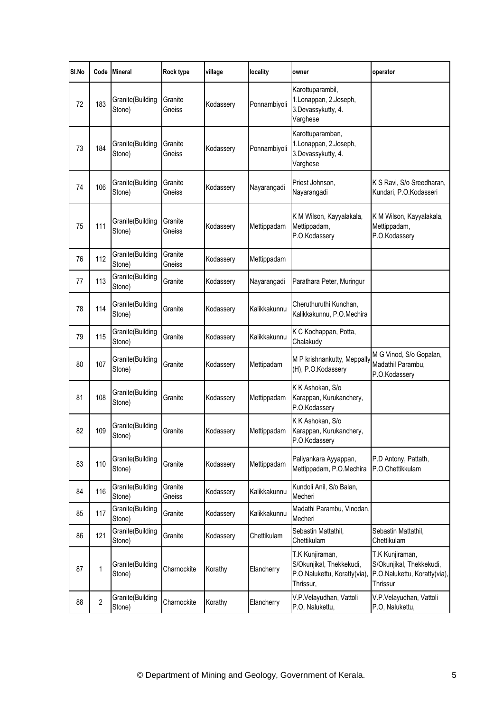| SI.No | Code           | <b>Mineral</b>             | Rock type         | village   | locality     | owner                                                                                    | operator                                                                                |
|-------|----------------|----------------------------|-------------------|-----------|--------------|------------------------------------------------------------------------------------------|-----------------------------------------------------------------------------------------|
| 72    | 183            | Granite(Building<br>Stone) | Granite<br>Gneiss | Kodassery | Ponnambiyoli | Karottuparambil,<br>1.Lonappan, 2.Joseph,<br>3.Devassykutty, 4.<br>Varghese              |                                                                                         |
| 73    | 184            | Granite(Building<br>Stone) | Granite<br>Gneiss | Kodassery | Ponnambiyoli | Karottuparamban,<br>1.Lonappan, 2.Joseph,<br>3.Devassykutty, 4.<br>Varghese              |                                                                                         |
| 74    | 106            | Granite(Building<br>Stone) | Granite<br>Gneiss | Kodassery | Nayarangadi  | Priest Johnson,<br>Nayarangadi                                                           | K S Ravi, S/o Sreedharan,<br>Kundari, P.O.Kodasseri                                     |
| 75    | 111            | Granite(Building<br>Stone) | Granite<br>Gneiss | Kodassery | Mettippadam  | K M Wilson, Kayyalakala,<br>Mettippadam,<br>P.O.Kodassery                                | K M Wilson, Kayyalakala,<br>Mettippadam,<br>P.O.Kodassery                               |
| 76    | 112            | Granite(Building<br>Stone) | Granite<br>Gneiss | Kodassery | Mettippadam  |                                                                                          |                                                                                         |
| 77    | 113            | Granite(Building<br>Stone) | Granite           | Kodassery | Nayarangadi  | Parathara Peter, Muringur                                                                |                                                                                         |
| 78    | 114            | Granite(Building<br>Stone) | Granite           | Kodassery | Kalikkakunnu | Cheruthuruthi Kunchan,<br>Kalikkakunnu, P.O.Mechira                                      |                                                                                         |
| 79    | 115            | Granite(Building<br>Stone) | Granite           | Kodassery | Kalikkakunnu | K C Kochappan, Potta,<br>Chalakudy                                                       |                                                                                         |
| 80    | 107            | Granite(Building<br>Stone) | Granite           | Kodassery | Mettipadam   | M P krishnankutty, Meppally<br>(H), P.O.Kodassery                                        | M G Vinod, S/o Gopalan,<br>Madathil Parambu,<br>P.O.Kodassery                           |
| 81    | 108            | Granite(Building<br>Stone) | Granite           | Kodassery | Mettippadam  | K K Ashokan, S/o<br>Karappan, Kurukanchery,<br>P.O.Kodassery                             |                                                                                         |
| 82    | 109            | Granite(Building<br>Stone) | Granite           | Kodassery | Mettippadam  | K K Ashokan, S/o<br>Karappan, Kurukanchery,<br>P.O.Kodassery                             |                                                                                         |
| 83    | 110            | Granite(Building<br>Stone) | Granite           | Kodassery | Mettippadam  | Paliyankara Ayyappan,<br>Mettippadam, P.O.Mechira                                        | P.D Antony, Pattath,<br>P.O.Chettikkulam                                                |
| 84    | 116            | Granite(Building<br>Stone) | Granite<br>Gneiss | Kodassery | Kalikkakunnu | Kundoli Anil, S/o Balan,<br>Mecheri                                                      |                                                                                         |
| 85    | 117            | Granite(Building<br>Stone) | Granite           | Kodassery | Kalikkakunnu | Madathi Parambu, Vinodan,<br>Mecheri                                                     |                                                                                         |
| 86    | 121            | Granite(Building<br>Stone) | Granite           | Kodassery | Chettikulam  | Sebastin Mattathil,<br>Chettikulam                                                       | Sebastin Mattathil,<br>Chettikulam                                                      |
| 87    | $\mathbf{1}$   | Granite(Building<br>Stone) | Charnockite       | Korathy   | Elancherry   | T.K Kunjiraman,<br>S/Okunjikal, Thekkekudi,<br>P.O.Nalukettu, Koratty(via),<br>Thrissur, | T.K Kunjiraman,<br>S/Okunjikal, Thekkekudi,<br>P.O.Nalukettu, Koratty(via),<br>Thrissur |
| 88    | $\overline{2}$ | Granite(Building<br>Stone) | Charnockite       | Korathy   | Elancherry   | V.P.Velayudhan, Vattoli<br>P.O, Nalukettu,                                               | V.P.Velayudhan, Vattoli<br>P.O, Nalukettu,                                              |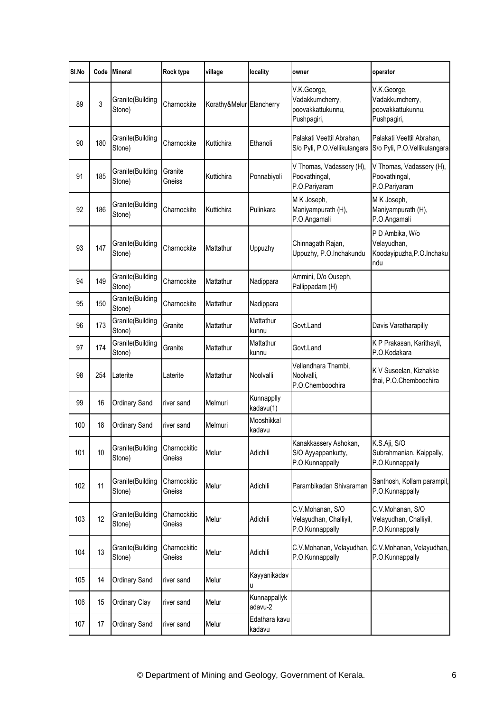| SI.No | Code | <b>Mineral</b>             | Rock type              | village                  | locality                | owner                                                              | operator                                                            |
|-------|------|----------------------------|------------------------|--------------------------|-------------------------|--------------------------------------------------------------------|---------------------------------------------------------------------|
| 89    | 3    | Granite(Building<br>Stone) | Charnockite            | Korathy&Melur Elancherry |                         | V.K.George,<br>Vadakkumcherry,<br>poovakkattukunnu,<br>Pushpagiri, | V.K.George,<br>Vadakkumcherry,<br>poovakkattukunnu,<br>Pushpagiri,  |
| 90    | 180  | Granite(Building<br>Stone) | Charnockite            | Kuttichira               | Ethanoli                | Palakati Veettil Abrahan,<br>S/o Pyli, P.O.Vellikulangara          | Palakati Veettil Abrahan,<br>S/o Pyli, P.O.Vellikulangara           |
| 91    | 185  | Granite(Building<br>Stone) | Granite<br>Gneiss      | Kuttichira               | Ponnabiyoli             | V Thomas, Vadassery (H),<br>Poovathingal,<br>P.O.Pariyaram         | V Thomas, Vadassery (H),<br>Poovathingal,<br>P.O.Pariyaram          |
| 92    | 186  | Granite(Building<br>Stone) | Charnockite            | Kuttichira               | Pulinkara               | M K Joseph,<br>Maniyampurath (H),<br>P.O.Angamali                  | M K Joseph,<br>Maniyampurath (H),<br>P.O.Angamali                   |
| 93    | 147  | Granite(Building<br>Stone) | Charnockite            | Mattathur                | Uppuzhy                 | Chinnagath Rajan,<br>Uppuzhy, P.O.Inchakundu                       | P D Ambika, W/o<br>Velayudhan,<br>Koodayipuzha, P.O. Inchaku<br>ndu |
| 94    | 149  | Granite(Building<br>Stone) | Charnockite            | Mattathur                | Nadippara               | Ammini, D/o Ouseph,<br>Pallippadam (H)                             |                                                                     |
| 95    | 150  | Granite(Building<br>Stone) | Charnockite            | Mattathur                | Nadippara               |                                                                    |                                                                     |
| 96    | 173  | Granite(Building<br>Stone) | Granite                | Mattathur                | Mattathur<br>kunnu      | Govt.Land                                                          | Davis Varatharapilly                                                |
| 97    | 174  | Granite(Building<br>Stone) | Granite                | Mattathur                | Mattathur<br>kunnu      | Govt.Land                                                          | K P Prakasan, Karithayil,<br>P.O.Kodakara                           |
| 98    | 254  | Laterite                   | Laterite               | Mattathur                | Noolvalli               | Vellandhara Thambi,<br>Noolvalli,<br>P.O.Chemboochira              | K V Suseelan, Kizhakke<br>thai, P.O.Chemboochira                    |
| 99    | 16   | Ordinary Sand              | river sand             | Melmuri                  | Kunnapplly<br>kadavu(1) |                                                                    |                                                                     |
| 100   | 18   | Ordinary Sand              | river sand             | Melmuri                  | Mooshikkal<br>kadavu    |                                                                    |                                                                     |
| 101   | 10   | Granite(Building<br>Stone) | Charnockitic<br>Gneiss | Melur                    | Adichili                | Kanakkassery Ashokan,<br>S/O Ayyappankutty,<br>P.O.Kunnappally     | K.S.Aji, S/O<br>Subrahmanian, Kaippally,<br>P.O.Kunnappally         |
| 102   | 11   | Granite(Building<br>Stone) | Charnockitic<br>Gneiss | Melur                    | Adichili                | Parambikadan Shivaraman                                            | Santhosh, Kollam parampil,<br>P.O.Kunnappally                       |
| 103   | 12   | Granite(Building<br>Stone) | Charnockitic<br>Gneiss | Melur                    | Adichili                | C.V.Mohanan, S/O<br>Velayudhan, Challiyil,<br>P.O.Kunnappally      | C.V.Mohanan, S/O<br>Velayudhan, Challiyil,<br>P.O.Kunnappally       |
| 104   | 13   | Granite(Building<br>Stone) | Charnockitic<br>Gneiss | Melur                    | Adichili                | C.V.Mohanan, Velayudhan,<br>P.O.Kunnappally                        | C.V.Mohanan, Velayudhan,<br>P.O.Kunnappally                         |
| 105   | 14   | Ordinary Sand              | river sand             | Melur                    | Kayyanikadav<br>U       |                                                                    |                                                                     |
| 106   | 15   | Ordinary Clay              | river sand             | Melur                    | Kunnappallyk<br>adavu-2 |                                                                    |                                                                     |
| 107   | 17   | Ordinary Sand              | river sand             | Melur                    | Edathara kavu<br>kadavu |                                                                    |                                                                     |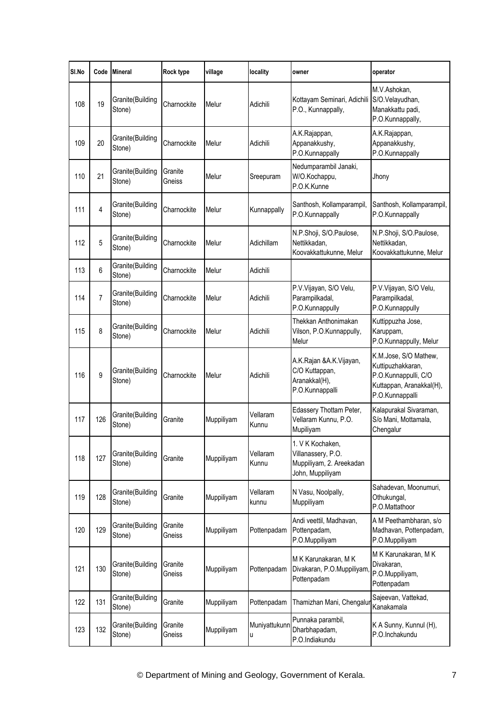| SI.No | Code           | <b>Mineral</b>             | Rock type         | village    | locality           | owner                                                                                  | operator                                                                                                          |
|-------|----------------|----------------------------|-------------------|------------|--------------------|----------------------------------------------------------------------------------------|-------------------------------------------------------------------------------------------------------------------|
| 108   | 19             | Granite(Building<br>Stone) | Charnockite       | Melur      | Adichili           | Kottayam Seminari, Adichili<br>P.O., Kunnappally,                                      | M.V.Ashokan,<br>S/O.Velayudhan,<br>Manakkattu padi,<br>P.O.Kunnappally,                                           |
| 109   | 20             | Granite(Building<br>Stone) | Charnockite       | Melur      | Adichili           | A.K.Rajappan,<br>Appanakkushy,<br>P.O.Kunnappally                                      | A.K.Rajappan,<br>Appanakkushy,<br>P.O.Kunnappally                                                                 |
| 110   | 21             | Granite(Building<br>Stone) | Granite<br>Gneiss | Melur      | Sreepuram          | Nedumparambil Janaki,<br>W/O.Kochappu,<br>P.O.K.Kunne                                  | Jhony                                                                                                             |
| 111   | 4              | Granite(Building<br>Stone) | Charnockite       | Melur      | Kunnappally        | Santhosh, Kollamparampil,<br>P.O.Kunnappally                                           | Santhosh, Kollamparampil,<br>P.O.Kunnappally                                                                      |
| 112   | 5              | Granite(Building<br>Stone) | Charnockite       | Melur      | Adichillam         | N.P.Shoji, S/O.Paulose,<br>Nettikkadan,<br>Koovakkattukunne, Melur                     | N.P.Shoji, S/O.Paulose,<br>Nettikkadan,<br>Koovakkattukunne, Melur                                                |
| 113   | 6              | Granite(Building<br>Stone) | Charnockite       | Melur      | Adichili           |                                                                                        |                                                                                                                   |
| 114   | $\overline{7}$ | Granite(Building<br>Stone) | Charnockite       | Melur      | Adichili           | P.V.Vijayan, S/O Velu,<br>Parampilkadal,<br>P.O.Kunnappully                            | P.V.Vijayan, S/O Velu,<br>Parampilkadal,<br>P.O.Kunnappully                                                       |
| 115   | 8              | Granite(Building<br>Stone) | Charnockite       | Melur      | Adichili           | Thekkan Anthonimakan<br>Vilson, P.O.Kunnappully,<br>Melur                              | Kuttippuzha Jose,<br>Karuppam,<br>P.O.Kunnappully, Melur                                                          |
| 116   | 9              | Granite(Building<br>Stone) | Charnockite       | Melur      | Adichili           | A.K.Rajan &A.K.Vijayan,<br>C/O Kuttappan,<br>Aranakkal(H),<br>P.O.Kunnappalli          | K.M.Jose, S/O Mathew,<br>Kuttipuzhakkaran,<br>P.O.Kunnappulli, C/O<br>Kuttappan, Aranakkal(H),<br>P.O.Kunnappalli |
| 117   | 126            | Granite(Building<br>Stone) | Granite           | Muppiliyam | Vellaram<br>Kunnu  | Edassery Thottam Peter,<br>Vellaram Kunnu, P.O.<br>Mupiliyam                           | Kalapurakal Sivaraman,<br>S/o Mani, Mottamala,<br>Chengalur                                                       |
| 118   | 127            | Granite(Building<br>Stone) | Granite           | Muppiliyam | Vellaram<br>Kunnu  | 1. V K Kochaken,<br>Villanassery, P.O.<br>Muppiliyam, 2. Areekadan<br>John, Muppiliyam |                                                                                                                   |
| 119   | 128            | Granite(Building<br>Stone) | Granite           | Muppiliyam | Vellaram<br>kunnu  | N Vasu, Noolpally,<br>Muppiliyam                                                       | Sahadevan, Moonumuri,<br>Othukungal,<br>P.O.Mattathoor                                                            |
| 120   | 129            | Granite(Building<br>Stone) | Granite<br>Gneiss | Muppiliyam | Pottenpadam        | Andi veettil, Madhavan,<br>Pottenpadam,<br>P.O.Muppiliyam                              | A M Peethambharan, s/o<br>Madhavan, Pottenpadam,<br>P.O.Muppiliyam                                                |
| 121   | 130            | Granite(Building<br>Stone) | Granite<br>Gneiss | Muppiliyam | Pottenpadam        | M K Karunakaran, M K<br>Divakaran, P.O.Muppiliyam,<br>Pottenpadam                      | M K Karunakaran, M K<br>Divakaran,<br>P.O.Muppiliyam,<br>Pottenpadam                                              |
| 122   | 131            | Granite(Building<br>Stone) | Granite           | Muppiliyam | Pottenpadam        | Thamizhan Mani, Chengalur                                                              | Sajeevan, Vattekad,<br>Kanakamala                                                                                 |
| 123   | 132            | Granite(Building<br>Stone) | Granite<br>Gneiss | Muppiliyam | Muniyattukunn<br>U | Punnaka parambil,<br>Dharbhapadam,<br>P.O.Indiakundu                                   | K A Sunny, Kunnul (H),<br>P.O.Inchakundu                                                                          |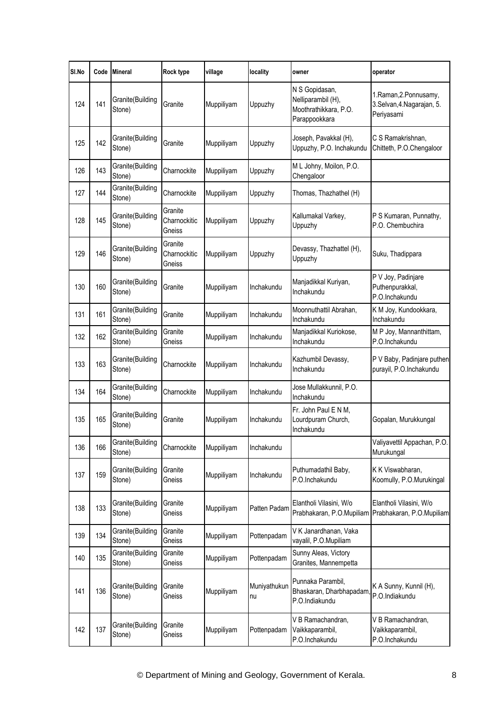| SI.No | Code | <b>Mineral</b>             | Rock type                         | village    | locality           | owner                                                                          | operator                                                          |
|-------|------|----------------------------|-----------------------------------|------------|--------------------|--------------------------------------------------------------------------------|-------------------------------------------------------------------|
| 124   | 141  | Granite(Building<br>Stone) | Granite                           | Muppiliyam | Uppuzhy            | N S Gopidasan,<br>Nelliparambil (H),<br>Moothrathikkara, P.O.<br>Parappookkara | 1.Raman, 2.Ponnusamy,<br>3.Selvan, 4. Nagarajan, 5.<br>Periyasami |
| 125   | 142  | Granite(Building<br>Stone) | Granite                           | Muppiliyam | Uppuzhy            | Joseph, Pavakkal (H),<br>Uppuzhy, P.O. Inchakundu                              | C S Ramakrishnan,<br>Chitteth, P.O.Chengaloor                     |
| 126   | 143  | Granite(Building<br>Stone) | Charnockite                       | Muppiliyam | Uppuzhy            | M L Johny, Moilon, P.O.<br>Chengaloor                                          |                                                                   |
| 127   | 144  | Granite(Building<br>Stone) | Charnockite                       | Muppiliyam | Uppuzhy            | Thomas, Thazhathel (H)                                                         |                                                                   |
| 128   | 145  | Granite(Building<br>Stone) | Granite<br>Charnockitic<br>Gneiss | Muppiliyam | Uppuzhy            | Kallumakal Varkey,<br>Uppuzhy                                                  | P S Kumaran, Punnathy,<br>P.O. Chembuchira                        |
| 129   | 146  | Granite(Building<br>Stone) | Granite<br>Charnockitic<br>Gneiss | Muppiliyam | Uppuzhy            | Devassy, Thazhattel (H),<br>Uppuzhy                                            | Suku, Thadippara                                                  |
| 130   | 160  | Granite(Building<br>Stone) | Granite                           | Muppiliyam | Inchakundu         | Manjadikkal Kuriyan,<br>Inchakundu                                             | P V Joy, Padinjare<br>Puthenpurakkal,<br>P.O.Inchakundu           |
| 131   | 161  | Granite(Building<br>Stone) | Granite                           | Muppiliyam | Inchakundu         | Moonnuthattil Abrahan,<br>Inchakundu                                           | K M Joy, Kundookkara,<br>Inchakundu                               |
| 132   | 162  | Granite(Building<br>Stone) | Granite<br>Gneiss                 | Muppiliyam | Inchakundu         | Manjadikkal Kuriokose,<br>Inchakundu                                           | M P Joy, Mannanthittam,<br>P.O.Inchakundu                         |
| 133   | 163  | Granite(Building<br>Stone) | Charnockite                       | Muppiliyam | Inchakundu         | Kazhumbil Devassy,<br>Inchakundu                                               | P V Baby, Padinjare puthen<br>purayil, P.O.Inchakundu             |
| 134   | 164  | Granite(Building<br>Stone) | Charnockite                       | Muppiliyam | Inchakundu         | Jose Mullakkunnil, P.O.<br>Inchakundu                                          |                                                                   |
| 135   | 165  | Granite(Building<br>Stone) | Granite                           | Muppiliyam | Inchakundu         | Fr. John Paul E N M,<br>Lourdpuram Church,<br>Inchakundu                       | Gopalan, Murukkungal                                              |
| 136   | 166  | Granite(Building<br>Stone) | Charnockite                       | Muppiliyam | Inchakundu         |                                                                                | Valiyavettil Appachan, P.O.<br>Murukungal                         |
| 137   | 159  | Granite(Building<br>Stone) | Granite<br>Gneiss                 | Muppiliyam | Inchakundu         | Puthumadathil Baby,<br>P.O.Inchakundu                                          | K K Viswabharan,<br>Koomully, P.O.Murukingal                      |
| 138   | 133  | Granite(Building<br>Stone) | Granite<br>Gneiss                 | Muppiliyam | Patten Padam       | Elantholi Vilasini, W/o<br>Prabhakaran, P.O.Mupiliam                           | Elantholi Vilasini, W/o<br>Prabhakaran, P.O.Mupiliam              |
| 139   | 134  | Granite(Building<br>Stone) | Granite<br>Gneiss                 | Muppiliyam | Pottenpadam        | V K Janardhanan, Vaka<br>vayalil, P.O.Mupiliam                                 |                                                                   |
| 140   | 135  | Granite(Building<br>Stone) | Granite<br>Gneiss                 | Muppiliyam | Pottenpadam        | Sunny Aleas, Victory<br>Granites, Mannempetta                                  |                                                                   |
| 141   | 136  | Granite(Building<br>Stone) | Granite<br>Gneiss                 | Muppiliyam | Muniyathukun<br>nu | Punnaka Parambil,<br>Bhaskaran, Dharbhapadam<br>P.O.Indiakundu                 | K A Sunny, Kunnil (H),<br>P.O.Indiakundu                          |
| 142   | 137  | Granite(Building<br>Stone) | Granite<br>Gneiss                 | Muppiliyam | Pottenpadam        | V B Ramachandran,<br>Vaikkaparambil,<br>P.O.Inchakundu                         | V B Ramachandran,<br>Vaikkaparambil,<br>P.O.Inchakundu            |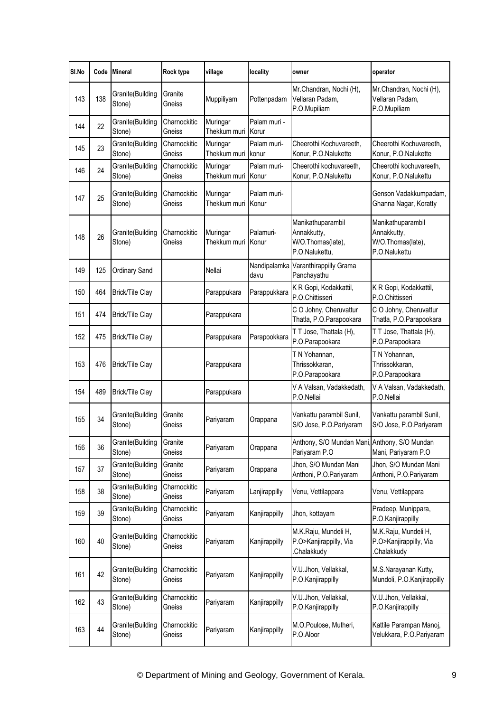| SI.No | Code | <b>Mineral</b>             | Rock type              | village                  | locality              | owner                                                                   | operator                                                               |
|-------|------|----------------------------|------------------------|--------------------------|-----------------------|-------------------------------------------------------------------------|------------------------------------------------------------------------|
| 143   | 138  | Granite(Building<br>Stone) | Granite<br>Gneiss      | Muppiliyam               | Pottenpadam           | Mr.Chandran, Nochi (H),<br>Vellaran Padam,<br>P.O.Mupiliam              | Mr.Chandran, Nochi (H),<br>Vellaran Padam,<br>P.O.Mupiliam             |
| 144   | 22   | Granite(Building<br>Stone) | Charnockitic<br>Gneiss | Muringar<br>Thekkum muri | Palam muri -<br>Korur |                                                                         |                                                                        |
| 145   | 23   | Granite(Building<br>Stone) | Charnockitic<br>Gneiss | Muringar<br>Thekkum muri | Palam muri-<br>konur  | Cheerothi Kochuvareeth,<br>Konur, P.O.Nalukette                         | Cheerothi Kochuvareeth,<br>Konur, P.O.Nalukette                        |
| 146   | 24   | Granite(Building<br>Stone) | Charnockitic<br>Gneiss | Muringar<br>Thekkum muri | Palam muri-<br>Konur  | Cheerothi kochuvareeth,<br>Konur, P.O.Nalukettu                         | Cheerothi kochuvareeth,<br>Konur, P.O.Nalukettu                        |
| 147   | 25   | Granite(Building<br>Stone) | Charnockitic<br>Gneiss | Muringar<br>Thekkum muri | Palam muri-<br>Konur  |                                                                         | Genson Vadakkumpadam,<br>Ghanna Nagar, Koratty                         |
| 148   | 26   | Granite(Building<br>Stone) | Charnockitic<br>Gneiss | Muringar<br>Thekkum muri | Palamuri-<br>Konur    | Manikathuparambil<br>Annakkutty,<br>W/O.Thomas(late),<br>P.O.Nalukettu, | Manikathuparambil<br>Annakkutty,<br>W/O.Thomas(late),<br>P.O.Nalukettu |
| 149   | 125  | Ordinary Sand              |                        | Nellai                   | Nandipalamka<br>davu  | Varanthirappilly Grama<br>Panchayathu                                   |                                                                        |
| 150   | 464  | <b>Brick/Tile Clay</b>     |                        | Parappukara              | Parappukkara          | K R Gopi, Kodakkattil,<br>P.O.Chittisseri                               | K R Gopi, Kodakkattil,<br>P.O.Chittisseri                              |
| 151   | 474  | <b>Brick/Tile Clay</b>     |                        | Parappukara              |                       | C O Johny, Cheruvattur<br>Thatla, P.O.Parapookara                       | C O Johny, Cheruvattur<br>Thatla, P.O.Parapookara                      |
| 152   | 475  | <b>Brick/Tile Clay</b>     |                        | Parappukara              | Parapookkara          | T T Jose, Thattala (H),<br>P.O.Parapookara                              | T T Jose, Thattala (H),<br>P.O.Parapookara                             |
| 153   | 476  | <b>Brick/Tile Clay</b>     |                        | Parappukara              |                       | T N Yohannan,<br>Thrissokkaran,<br>P.O.Parapookara                      | T N Yohannan,<br>Thrissokkaran,<br>P.O.Parapookara                     |
| 154   | 489  | <b>Brick/Tile Clay</b>     |                        | Parappukara              |                       | V A Valsan, Vadakkedath,<br>P.O.Nellai                                  | V A Valsan, Vadakkedath,<br>P.O.Nellai                                 |
| 155   | 34   | Granite(Building<br>Stone) | Granite<br>Gneiss      | Pariyaram                | Orappana              | Vankattu parambil Sunil,<br>S/O Jose, P.O.Pariyaram                     | Vankattu parambil Sunil,<br>S/O Jose, P.O.Pariyaram                    |
| 156   | 36   | Granite(Building<br>Stone) | Granite<br>Gneiss      | Pariyaram                | Orappana              | Anthony, S/O Mundan Mani, Anthony, S/O Mundan<br>Pariyaram P.O          | Mani, Pariyaram P.O                                                    |
| 157   | 37   | Granite(Building<br>Stone) | Granite<br>Gneiss      | Pariyaram                | Orappana              | Jhon, S/O Mundan Mani<br>Anthoni, P.O.Pariyaram                         | Jhon, S/O Mundan Mani<br>Anthoni, P.O.Pariyaram                        |
| 158   | 38   | Granite(Building<br>Stone) | Charnockitic<br>Gneiss | Pariyaram                | Lanjirappilly         | Venu, Vettilappara                                                      | Venu, Vettilappara                                                     |
| 159   | 39   | Granite(Building<br>Stone) | Charnockitic<br>Gneiss | Pariyaram                | Kanjirappilly         | Jhon, kottayam                                                          | Pradeep, Munippara,<br>P.O.Kanjirappilly                               |
| 160   | 40   | Granite(Building<br>Stone) | Charnockitic<br>Gneiss | Pariyaram                | Kanjirappilly         | M.K.Raju, Mundeli H,<br>P.O>Kanjirappilly, Via<br>Chalakkudy.           | M.K.Raju, Mundeli H,<br>P.O>Kanjirappilly, Via<br>Chalakkudy.          |
| 161   | 42   | Granite(Building<br>Stone) | Charnockitic<br>Gneiss | Pariyaram                | Kanjirappilly         | V.U.Jhon, Vellakkal,<br>P.O.Kanjirappilly                               | M.S.Narayanan Kutty,<br>Mundoli, P.O.Kanjirappilly                     |
| 162   | 43   | Granite(Building<br>Stone) | Charnockitic<br>Gneiss | Pariyaram                | Kanjirappilly         | V.U.Jhon, Vellakkal,<br>P.O.Kanjirappilly                               | V.U.Jhon, Vellakkal,<br>P.O.Kanjirappilly                              |
| 163   | 44   | Granite(Building<br>Stone) | Charnockitic<br>Gneiss | Pariyaram                | Kanjirappilly         | M.O.Poulose, Mutheri,<br>P.O.Aloor                                      | Kattile Parampan Manoj,<br>Velukkara, P.O.Pariyaram                    |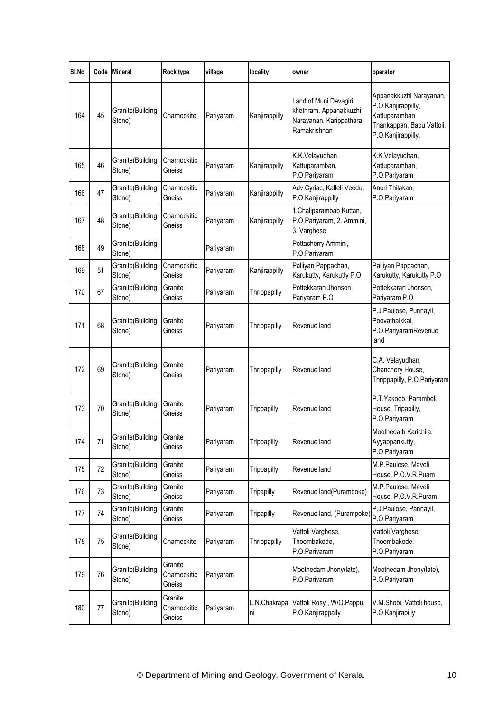| SI.No | Code | <b>Mineral</b>                      | Rock type                         | village   | locality           | owner                                                                                      | operator                                                                                                          |
|-------|------|-------------------------------------|-----------------------------------|-----------|--------------------|--------------------------------------------------------------------------------------------|-------------------------------------------------------------------------------------------------------------------|
| 164   | 45   | Granite(Building<br>Stone)          | Charnockite                       | Pariyaram | Kanjirappilly      | Land of Muni Devagiri<br>khethram, Appanakkuzhi<br>Narayanan, Karippathara<br>Ramakrishnan | Appanakkuzhi Narayanan,<br>P.O.Kanjirappilly,<br>Kattuparamban<br>Thankappan, Babu Vattoli,<br>P.O.Kanjirappilly, |
| 165   | 46   | Granite(Building<br>Stone)          | Charnockitic<br>Gneiss            | Pariyaram | Kanjirappilly      | K.K.Velayudhan,<br>Kattuparamban,<br>P.O.Pariyaram                                         | K.K.Velayudhan,<br>Kattuparamban,<br>P.O.Pariyaram                                                                |
| 166   | 47   | Granite(Building<br>Stone)          | Charnockitic<br>Gneiss            | Pariyaram | Kanjirappilly      | Adv.Cyriac, Kalleli Veedu,<br>P.O.Kanjirappilly                                            | Aneri Thilakan,<br>P.O.Pariyaram                                                                                  |
| 167   | 48   | Granite(Building<br>Stone)          | Charnockitic<br>Gneiss            | Pariyaram | Kanjirappilly      | 1.Chaliparambab Kuttan,<br>P.O.Pariyaram, 2. Ammini,<br>3. Varghese                        |                                                                                                                   |
| 168   | 49   | Granite(Building<br>Stone)          |                                   | Pariyaram |                    | Pottacherry Ammini,<br>P.O.Pariyaram                                                       |                                                                                                                   |
| 169   | 51   | Granite(Building<br>Stone)          | Charnockitic<br>Gneiss            | Pariyaram | Kanjirappilly      | Palliyan Pappachan,<br>Karukutty, Karukutty P.O                                            | Palliyan Pappachan,<br>Karukutty, Karukutty P.O                                                                   |
| 170   | 67   | Granite(Building<br>Stone)          | Granite<br>Gneiss                 | Pariyaram | Thrippapilly       | Pottekkaran Jhonson,<br>Pariyaram P.O                                                      | Pottekkaran Jhonson,<br>Pariyaram P.O                                                                             |
| 171   | 68   | Granite(Building<br>Stone)          | Granite<br>Gneiss                 | Pariyaram | Thrippapilly       | Revenue land                                                                               | P.J.Paulose, Punnayil,<br>Poovathaikkal,<br>P.O.PariyaramRevenue<br>land                                          |
| 172   | 69   | Granite(Building<br>Stone)          | Granite<br>Gneiss                 | Pariyaram | Thrippapilly       | Revenue land                                                                               | C.A. Velayudhan,<br>Chanchery House,<br>Thrippapilly, P.O.Pariyaram                                               |
| 173   | 70   | Granite(Building<br>Stone)          | Granite<br>Gneiss                 | Pariyaram | Trippapilly        | Revenue land                                                                               | P.T.Yakoob, Parambeli<br>House, Tripapilly,<br>P.O.Pariyaram                                                      |
| 174   | 71   | Granite (Building Granite<br>Stone) | Gneiss                            | Parıyaram | Trippapilly        | Revenue land                                                                               | Moothedath Karichila,<br>Ayyappankutty,<br>P.O.Pariyaram                                                          |
| 175   | 72   | Granite(Building<br>Stone)          | Granite<br>Gneiss                 | Pariyaram | Trippapilly        | Revenue land                                                                               | M.P.Paulose, Maveli<br>House, P.O.V.R.Puam                                                                        |
| 176   | 73   | Granite(Building<br>Stone)          | Granite<br>Gneiss                 | Pariyaram | Tripapilly         | Revenue land(Puramboke)                                                                    | M.P.Paulose, Maveli<br>House, P.O.V.R.Puram                                                                       |
| 177   | 74   | Granite(Building<br>Stone)          | Granite<br>Gneiss                 | Pariyaram | Tripapilly         | Revenue land, (Purampoke)                                                                  | P.J.Paulose, Pannayil,<br>P.O.Pariyaram                                                                           |
| 178   | 75   | Granite(Building<br>Stone)          | Charnockite                       | Pariyaram | Thrippapilly       | Vattoli Varghese,<br>Thoombakode,<br>P.O.Pariyaram                                         | Vattoli Varghese,<br>Thoombakode,<br>P.O.Pariyaram                                                                |
| 179   | 76   | Granite(Building<br>Stone)          | Granite<br>Charnockitic<br>Gneiss | Pariyaram |                    | Moothedam Jhony(late),<br>P.O.Pariyaram                                                    | Moothedam Jhony(late),<br>P.O.Pariyaram                                                                           |
| 180   | 77   | Granite(Building<br>Stone)          | Granite<br>Charnockitic<br>Gneiss | Pariyaram | L.N.Chakrapa<br>ni | Vattoli Rosy, W/O.Pappu,<br>P.O.Kanjirappally                                              | V.M.Shobi, Vattoli house,<br>P.O.Kanjirapilly                                                                     |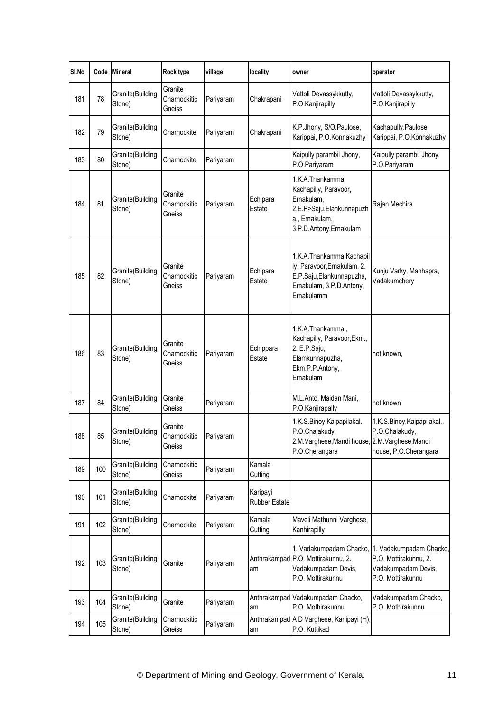| SI.No | Code | <b>Mineral</b>             | Rock type                         | village   | locality                         | owner                                                                                                                             | operator                                                                                     |
|-------|------|----------------------------|-----------------------------------|-----------|----------------------------------|-----------------------------------------------------------------------------------------------------------------------------------|----------------------------------------------------------------------------------------------|
| 181   | 78   | Granite(Building<br>Stone) | Granite<br>Charnockitic<br>Gneiss | Pariyaram | Chakrapani                       | Vattoli Devassykkutty,<br>P.O.Kanjirapilly                                                                                        | Vattoli Devassykkutty,<br>P.O.Kanjirapilly                                                   |
| 182   | 79   | Granite(Building<br>Stone) | Charnockite                       | Pariyaram | Chakrapani                       | K.P.Jhony, S/O.Paulose,<br>Karippai, P.O.Konnakuzhy                                                                               | Kachapully.Paulose,<br>Karippai, P.O.Konnakuzhy                                              |
| 183   | 80   | Granite(Building<br>Stone) | Charnockite                       | Pariyaram |                                  | Kaipully parambil Jhony,<br>P.O.Pariyaram                                                                                         | Kaipully parambil Jhony,<br>P.O.Pariyaram                                                    |
| 184   | 81   | Granite(Building<br>Stone) | Granite<br>Charnockitic<br>Gneiss | Pariyaram | Echipara<br>Estate               | 1.K.A.Thankamma,<br>Kachapilly, Paravoor,<br>Ernakulam,<br>2.E.P>Saju, Elankunnapuzh<br>a,, Ernakulam,<br>3.P.D.Antony, Ernakulam | Rajan Mechira                                                                                |
| 185   | 82   | Granite(Building<br>Stone) | Granite<br>Charnockitic<br>Gneiss | Pariyaram | Echipara<br>Estate               | 1.K.A.Thankamma,Kachapil<br>ly, Paravoor, Ernakulam, 2.<br>E.P.Saju, Elankunnapuzha,<br>Ernakulam, 3.P.D.Antony,<br>Ernakulamm    | Kunju Varky, Manhapra,<br>Vadakumchery                                                       |
| 186   | 83   | Granite(Building<br>Stone) | Granite<br>Charnockitic<br>Gneiss | Pariyaram | Echippara<br>Estate              | 1.K.A.Thankamma,,<br>Kachapilly, Paravoor, Ekm.,<br>2. E.P.Saju,,<br>Elamkunnapuzha,<br>Ekm.P.P.Antony,<br>Ernakulam              | not known.                                                                                   |
| 187   | 84   | Granite(Building<br>Stone) | Granite<br>Gneiss                 | Pariyaram |                                  | M.L.Anto, Maidan Mani,<br>P.O.Kanjirapally                                                                                        | not known                                                                                    |
| 188   | 85   | Granite(Building<br>Stone) | Granite<br>Charnockitic<br>Gneiss | Pariyaram |                                  | 1.K.S.Binoy, Kaipapilakal.,<br>P.O.Chalakudy,<br>2.M.Varghese, Mandi house, 2.M.Varghese, Mandi<br>P.O.Cherangara                 | 1.K.S.Binoy, Kaipapilakal.,<br>P.O.Chalakudy,<br>house, P.O.Cherangara                       |
| 189   | 100  | Granite(Building<br>Stone) | Charnockitic<br>Gneiss            | Pariyaram | Kamala<br>Cutting                |                                                                                                                                   |                                                                                              |
| 190   | 101  | Granite(Building<br>Stone) | Charnockite                       | Pariyaram | Karipayi<br><b>Rubber Estate</b> |                                                                                                                                   |                                                                                              |
| 191   | 102  | Granite(Building<br>Stone) | Charnockite                       | Pariyaram | Kamala<br>Cutting                | Maveli Mathunni Varghese,<br>Kanhirapilly                                                                                         |                                                                                              |
| 192   | 103  | Granite(Building<br>Stone) | Granite                           | Pariyaram | am                               | 1. Vadakumpadam Chacko,<br>Anthrakampad P.O. Mottirakunnu, 2.<br>Vadakumpadam Devis,<br>P.O. Mottirakunnu                         | 1. Vadakumpadam Chacko,<br>P.O. Mottirakunnu, 2.<br>Vadakumpadam Devis,<br>P.O. Mottirakunnu |
| 193   | 104  | Granite(Building<br>Stone) | Granite                           | Pariyaram | am                               | Anthrakampad Vadakumpadam Chacko,<br>P.O. Mothirakunnu                                                                            | Vadakumpadam Chacko,<br>P.O. Mothirakunnu                                                    |
| 194   | 105  | Granite(Building<br>Stone) | Charnockitic<br>Gneiss            | Pariyaram | am                               | Anthrakampad A D Varghese, Kanipayi (H),<br>P.O. Kuttikad                                                                         |                                                                                              |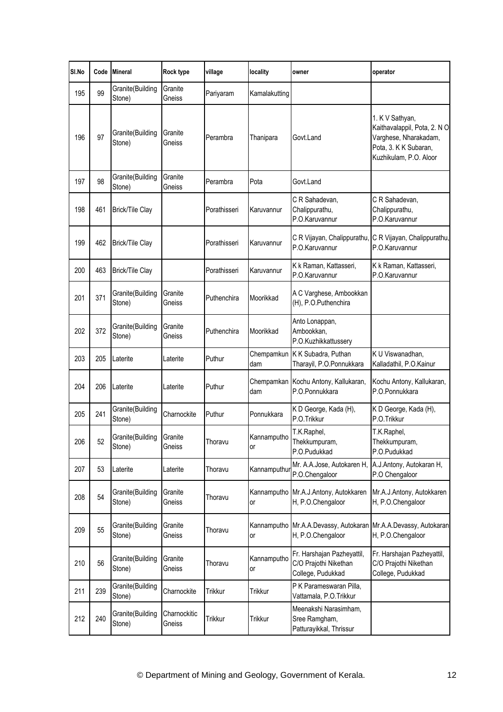| SI.No |     | Code Mineral               | Rock type              | village         | locality          | owner                                                                    | operator                                                                                                                   |
|-------|-----|----------------------------|------------------------|-----------------|-------------------|--------------------------------------------------------------------------|----------------------------------------------------------------------------------------------------------------------------|
| 195   | 99  | Granite(Building<br>Stone) | Granite<br>Gneiss      | Pariyaram       | Kamalakutting     |                                                                          |                                                                                                                            |
| 196   | 97  | Granite(Building<br>Stone) | Granite<br>Gneiss      | Perambra        | Thanipara         | Govt.Land                                                                | 1. K V Sathyan,<br>Kaithavalappil, Pota, 2. NO<br>Varghese, Nharakadam,<br>Pota, 3. K K Subaran,<br>Kuzhikulam, P.O. Aloor |
| 197   | 98  | Granite(Building<br>Stone) | Granite<br>Gneiss      | Perambra        | Pota              | Govt.Land                                                                |                                                                                                                            |
| 198   | 461 | <b>Brick/Tile Clay</b>     |                        | Porathisseri    | Karuvannur        | C R Sahadevan,<br>Chalippurathu,<br>P.O.Karuvannur                       | C R Sahadevan,<br>Chalippurathu,<br>P.O.Karuvannur                                                                         |
| 199   | 462 | <b>Brick/Tile Clay</b>     |                        | Porathisseri    | Karuvannur        | C R Vijayan, Chalippurathu,<br>P.O.Karuvannur                            | C R Vijayan, Chalippurathu,<br>P.O.Karuvannur                                                                              |
| 200   | 463 | <b>Brick/Tile Clay</b>     |                        | Porathisseri    | Karuvannur        | K k Raman, Kattasseri,<br>P.O.Karuvannur                                 | K k Raman, Kattasseri,<br>P.O.Karuvannur                                                                                   |
| 201   | 371 | Granite(Building<br>Stone) | Granite<br>Gneiss      | Puthenchira     | Moorikkad         | A C Varghese, Ambookkan<br>(H), P.O.Puthenchira                          |                                                                                                                            |
| 202   | 372 | Granite(Building<br>Stone) | Granite<br>Gneiss      | Puthenchira     | Moorikkad         | Anto Lonappan,<br>Ambookkan,<br>P.O.Kuzhikkattussery                     |                                                                                                                            |
| 203   | 205 | Laterite                   | Laterite               | Puthur          | Chempamkun<br>dam | K K Subadra, Puthan<br>Tharayil, P.O.Ponnukkara                          | K U Viswanadhan,<br>Kalladathil, P.O.Kainur                                                                                |
| 204   | 206 | Laterite                   | Laterite               | Puthur          | Chempamkan<br>dam | Kochu Antony, Kallukaran,<br>P.O.Ponnukkara                              | Kochu Antony, Kallukaran,<br>P.O.Ponnukkara                                                                                |
| 205   | 241 | Granite(Building<br>Stone) | Charnockite            | Puthur          | Ponnukkara        | K D George, Kada (H),<br>P.O.Trikkur                                     | K D George, Kada (H),<br>P.O.Trikkur                                                                                       |
| 206   | 52  | Granite(Building<br>Stone) | Granite<br>Gneiss      | <b>I</b> horavu | Kannamputho<br>or | T.K.Raphel,<br>Thekkumpuram,<br>P.O.Pudukkad                             | T.K.Raphel,<br>Thekkumpuram,<br>P.O.Pudukkad                                                                               |
| 207   | 53  | Laterite                   | Laterite               | Thoravu         | Kannamputhu       | Mr. A.A.Jose, Autokaren H,<br>P.O.Chengaloor                             | A.J.Antony, Autokaran H,<br>P.O Chengaloor                                                                                 |
| 208   | 54  | Granite(Building<br>Stone) | Granite<br>Gneiss      | Thoravu         | or                | Kannamputho Mr.A.J.Antony, Autokkaren<br>H, P.O.Chengaloor               | Mr.A.J.Antony, Autokkaren<br>H, P.O.Chengaloor                                                                             |
| 209   | 55  | Granite(Building<br>Stone) | Granite<br>Gneiss      | Thoravu         | Kannamputho<br>or | Mr.A.A.Devassy, Autokaran Mr.A.A.Devassy, Autokaran<br>H, P.O.Chengaloor | H, P.O.Chengaloor                                                                                                          |
| 210   | 56  | Granite(Building<br>Stone) | Granite<br>Gneiss      | Thoravu         | Kannamputho<br>or | Fr. Harshajan Pazheyattil,<br>C/O Prajothi Nikethan<br>College, Pudukkad | Fr. Harshajan Pazheyattil,<br>C/O Prajothi Nikethan<br>College, Pudukkad                                                   |
| 211   | 239 | Granite(Building<br>Stone) | Charnockite            | Trikkur         | Trikkur           | P K Parameswaran Pilla,<br>Vattamala, P.O.Trikkur                        |                                                                                                                            |
| 212   | 240 | Granite(Building<br>Stone) | Charnockitic<br>Gneiss | Trikkur         | Trikkur           | Meenakshi Narasimham,<br>Sree Ramgham,<br>Patturayikkal, Thrissur        |                                                                                                                            |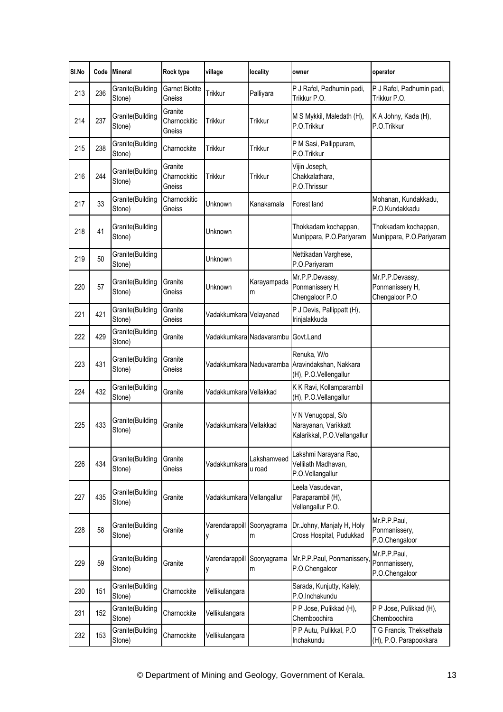| SI.No | Code | <b>Mineral</b>             | Rock type                         | village                   | locality                           | owner                                                                                   | operator                                             |
|-------|------|----------------------------|-----------------------------------|---------------------------|------------------------------------|-----------------------------------------------------------------------------------------|------------------------------------------------------|
| 213   | 236  | Granite(Building<br>Stone) | Garnet Biotite<br>Gneiss          | Trikkur                   | Palliyara                          | P J Rafel, Padhumin padi,<br>Trikkur P.O.                                               | P J Rafel, Padhumin padi,<br>Trikkur P.O.            |
| 214   | 237  | Granite(Building<br>Stone) | Granite<br>Charnockitic<br>Gneiss | <b>Trikkur</b>            | Trikkur                            | M S Mykkil, Maledath (H),<br>P.O.Trikkur                                                | K A Johny, Kada (H),<br>P.O.Trikkur                  |
| 215   | 238  | Granite(Building<br>Stone) | Charnockite                       | Trikkur                   | <b>Trikkur</b>                     | P M Sasi, Pallippuram,<br>P.O.Trikkur                                                   |                                                      |
| 216   | 244  | Granite(Building<br>Stone) | Granite<br>Charnockitic<br>Gneiss | <b>Trikkur</b>            | <b>Trikkur</b>                     | Vijin Joseph,<br>Chakkalathara,<br>P.O.Thrissur                                         |                                                      |
| 217   | 33   | Granite(Building<br>Stone) | Charnockitic<br>Gneiss            | Unknown                   | Kanakamala                         | Forest land                                                                             | Mohanan, Kundakkadu,<br>P.O.Kundakkadu               |
| 218   | 41   | Granite(Building<br>Stone) |                                   | Unknown                   |                                    | Thokkadam kochappan,<br>Munippara, P.O.Pariyaram                                        | Thokkadam kochappan,<br>Munippara, P.O.Pariyaram     |
| 219   | 50   | Granite(Building<br>Stone) |                                   | Unknown                   |                                    | Nettikadan Varghese,<br>P.O.Pariyaram                                                   |                                                      |
| 220   | 57   | Granite(Building<br>Stone) | Granite<br>Gneiss                 | Unknown                   | Karayampada<br>m                   | Mr.P.P.Devassy,<br>Ponmanissery H,<br>Chengaloor P.O                                    | Mr.P.P.Devassy,<br>Ponmanissery H,<br>Chengaloor P.O |
| 221   | 421  | Granite(Building<br>Stone) | Granite<br>Gneiss                 | Vadakkumkara Velayanad    |                                    | P J Devis, Pallippatt (H),<br>Irinjalakkuda                                             |                                                      |
| 222   | 429  | Granite(Building<br>Stone) | Granite                           |                           | Vadakkumkara Nadavarambu Govt.Land |                                                                                         |                                                      |
| 223   | 431  | Granite(Building<br>Stone) | Granite<br>Gneiss                 |                           |                                    | Renuka, W/o<br>Vadakkumkara Naduvaramba Aravindakshan, Nakkara<br>(H), P.O.Vellengallur |                                                      |
| 224   | 432  | Granite(Building<br>Stone) | Granite                           | Vadakkumkara Vellakkad    |                                    | K K Ravi, Kollamparambil<br>(H), P.O.Vellangallur                                       |                                                      |
| 225   | 433  | Granite(Building<br>Stone) | Granite                           | Vadakkumkara Vellakkad    |                                    | V N Venugopal, S/o<br>Narayanan, Varikkatt<br>Kalarikkal, P.O.Vellangallur              |                                                      |
| 226   | 434  | Granite(Building<br>Stone) | Granite<br>Gneiss                 | Vadakkumkara              | Lakshamveed<br>u road              | Lakshmi Narayana Rao,<br>Vellilath Madhavan,<br>P.O.Vellangallur                        |                                                      |
| 227   | 435  | Granite(Building<br>Stone) | Granite                           | Vadakkumkara Vellangallur |                                    | Leela Vasudevan,<br>Paraparambil (H),<br>Vellangallur P.O.                              |                                                      |
| 228   | 58   | Granite(Building<br>Stone) | Granite                           | Varendarappill<br>y       | Sooryagrama<br>m                   | Dr.Johny, Manjaly H, Holy<br>Cross Hospital, Pudukkad                                   | Mr.P.P.Paul,<br>Ponmanissery,<br>P.O.Chengaloor      |
| 229   | 59   | Granite(Building<br>Stone) | Granite                           | Varendarappill<br>у       | Sooryagrama<br>m                   | Mr.P.P.Paul, Ponmanissery,<br>P.O.Chengaloor                                            | Mr.P.P.Paul,<br>Ponmanissery,<br>P.O.Chengaloor      |
| 230   | 151  | Granite(Building<br>Stone) | Charnockite                       | Vellikulangara            |                                    | Sarada, Kunjutty, Kalely,<br>P.O.Inchakundu                                             |                                                      |
| 231   | 152  | Granite(Building<br>Stone) | Charnockite                       | Vellikulangara            |                                    | P P Jose, Pulikkad (H),<br>Chemboochira                                                 | P P Jose, Pulikkad (H),<br>Chemboochira              |
| 232   | 153  | Granite(Building<br>Stone) | Charnockite                       | Vellikulangara            |                                    | P P Autu, Pulikkal, P.O<br>Inchakundu                                                   | T G Francis, Thekkethala<br>(H), P.O. Parapookkara   |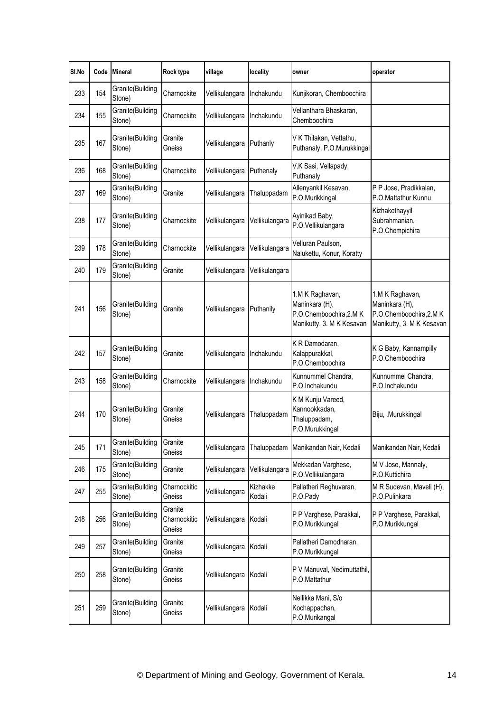| SI.No | Code | <b>Mineral</b>             | Rock type                         | village        | locality           | owner                                                                                     | operator                                                                                 |
|-------|------|----------------------------|-----------------------------------|----------------|--------------------|-------------------------------------------------------------------------------------------|------------------------------------------------------------------------------------------|
| 233   | 154  | Granite(Building<br>Stone) | Charnockite                       | Vellikulangara | Inchakundu         | Kunjikoran, Chemboochira                                                                  |                                                                                          |
| 234   | 155  | Granite(Building<br>Stone) | Charnockite                       | Vellikulangara | Inchakundu         | Vellanthara Bhaskaran,<br>Chemboochira                                                    |                                                                                          |
| 235   | 167  | Granite(Building<br>Stone) | Granite<br>Gneiss                 | Vellikulangara | Puthanly           | V K Thilakan, Vettathu,<br>Puthanaly, P.O.Murukkingal                                     |                                                                                          |
| 236   | 168  | Granite(Building<br>Stone) | Charnockite                       | Vellikulangara | Puthenaly          | V.K Sasi, Vellapady,<br>Puthanaly                                                         |                                                                                          |
| 237   | 169  | Granite(Building<br>Stone) | Granite                           | Vellikulangara | Thaluppadam        | Allenyankil Kesavan,<br>P.O.Murikkingal                                                   | P P Jose, Pradikkalan,<br>P.O.Mattathur Kunnu                                            |
| 238   | 177  | Granite(Building<br>Stone) | Charnockite                       | Vellikulangara | Vellikulangara     | Ayinikad Baby,<br>P.O.Vellikulangara                                                      | Kizhakethayyil<br>Subrahmanian,<br>P.O.Chempichira                                       |
| 239   | 178  | Granite(Building<br>Stone) | Charnockite                       | Vellikulangara | Vellikulangara     | Velluran Paulson,<br>Nalukettu, Konur, Koratty                                            |                                                                                          |
| 240   | 179  | Granite(Building<br>Stone) | Granite                           | Vellikulangara | Vellikulangara     |                                                                                           |                                                                                          |
| 241   | 156  | Granite(Building<br>Stone) | Granite                           | Vellikulangara | Puthanily          | 1.M K Raghavan,<br>Maninkara (H),<br>P.O.Chemboochira, 2.M K<br>Manikutty, 3. M K Kesavan | 1.M K Raghavan,<br>Maninkara (H),<br>P.O.Chemboochira, 2.MK<br>Manikutty, 3. M K Kesavan |
| 242   | 157  | Granite(Building<br>Stone) | Granite                           | Vellikulangara | Inchakundu         | K R Damodaran,<br>Kalappurakkal,<br>P.O.Chemboochira                                      | K G Baby, Kannampilly<br>P.O.Chemboochira                                                |
| 243   | 158  | Granite(Building<br>Stone) | Charnockite                       | Vellikulangara | Inchakundu         | Kunnummel Chandra,<br>P.O.Inchakundu                                                      | Kunnummel Chandra,<br>P.O.Inchakundu                                                     |
| 244   | 170  | Granite(Building<br>Stone) | Granite<br>Gneiss                 | Vellikulangara | Thaluppadam        | K M Kunju Vareed,<br>Kannookkadan,<br>Thaluppadam,<br>P.O.Murukkingal                     | Biju, Murukkingal                                                                        |
| 245   | 171  | Granite(Building<br>Stone) | Granite<br>Gneiss                 | Vellikulangara | Thaluppadam        | Manikandan Nair, Kedali                                                                   | Manikandan Nair, Kedali                                                                  |
| 246   | 175  | Granite(Building<br>Stone) | Granite                           | Vellikulangara | Vellikulangara     | Mekkadan Varghese,<br>P.O.Vellikulangara                                                  | M V Jose, Mannaly,<br>P.O.Kuttichira                                                     |
| 247   | 255  | Granite(Building<br>Stone) | Charnockitic<br>Gneiss            | Vellikulangara | Kizhakke<br>Kodali | Pallatheri Reghuvaran,<br>P.O.Pady                                                        | M R Sudevan, Maveli (H),<br>P.O.Pulinkara                                                |
| 248   | 256  | Granite(Building<br>Stone) | Granite<br>Charnockitic<br>Gneiss | Vellikulangara | Kodali             | P P Varghese, Parakkal,<br>P.O.Murikkungal                                                | P P Varghese, Parakkal,<br>P.O.Murikkungal                                               |
| 249   | 257  | Granite(Building<br>Stone) | Granite<br>Gneiss                 | Vellikulangara | Kodali             | Pallatheri Damodharan,<br>P.O.Murikkungal                                                 |                                                                                          |
| 250   | 258  | Granite(Building<br>Stone) | Granite<br>Gneiss                 | Vellikulangara | Kodali             | P V Manuval, Nedimuttathil,<br>P.O.Mattathur                                              |                                                                                          |
| 251   | 259  | Granite(Building<br>Stone) | Granite<br>Gneiss                 | Vellikulangara | Kodali             | Nellikka Mani, S/o<br>Kochappachan,<br>P.O.Murikangal                                     |                                                                                          |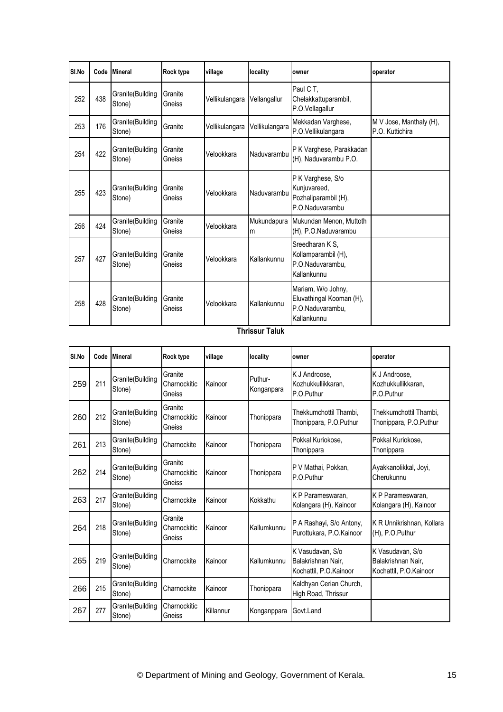| SI.No | Code | <b>Mineral</b>             | Rock type         | village        | locality         | owner                                                                             | operator                                   |
|-------|------|----------------------------|-------------------|----------------|------------------|-----------------------------------------------------------------------------------|--------------------------------------------|
| 252   | 438  | Granite(Building<br>Stone) | Granite<br>Gneiss | Vellikulangara | Vellangallur     | Paul C T,<br>Chelakkattuparambil,<br>P.O.Vellagallur                              |                                            |
| 253   | 176  | Granite(Building<br>Stone) | Granite           | Vellikulangara | Vellikulangara   | Mekkadan Varghese,<br>P.O.Vellikulangara                                          | M V Jose, Manthaly (H),<br>P.O. Kuttichira |
| 254   | 422  | Granite(Building<br>Stone) | Granite<br>Gneiss | Velookkara     | Naduvarambu      | P K Varghese, Parakkadan<br>(H), Naduvarambu P.O.                                 |                                            |
| 255   | 423  | Granite(Building<br>Stone) | Granite<br>Gneiss | Velookkara     | Naduvarambu      | P K Varghese, S/o<br>Kunjuvareed,<br>Pozhaliparambil (H),<br>P.O.Naduvarambu      |                                            |
| 256   | 424  | Granite(Building<br>Stone) | Granite<br>Gneiss | Velookkara     | Mukundapura<br>m | Mukundan Menon, Muttoth<br>(H), P.O.Naduvarambu                                   |                                            |
| 257   | 427  | Granite(Building<br>Stone) | Granite<br>Gneiss | Velookkara     | Kallankunnu      | Sreedharan K S,<br>Kollamparambil (H),<br>P.O.Naduvarambu,<br>Kallankunnu         |                                            |
| 258   | 428  | Granite(Building<br>Stone) | Granite<br>Gneiss | Velookkara     | Kallankunnu      | Mariam, W/o Johny,<br>Eluvathingal Kooman (H),<br>P.O.Naduvarambu,<br>Kallankunnu |                                            |

## **Thrissur Taluk**

| SI.No | Code | <b>Mineral</b>             | Rock type                         | village   | locality              | owner                                                            | operator                                                         |
|-------|------|----------------------------|-----------------------------------|-----------|-----------------------|------------------------------------------------------------------|------------------------------------------------------------------|
| 259   | 211  | Granite(Building<br>Stone) | Granite<br>Charnockitic<br>Gneiss | Kainoor   | Puthur-<br>Konganpara | K J Androose,<br>Kozhukkullikkaran.<br>P.O.Puthur                | K J Androose,<br>Kozhukkullikkaran.<br>P.O.Puthur                |
| 260   | 212  | Granite(Building<br>Stone) | Granite<br>Charnockitic<br>Gneiss | Kainoor   | Thonippara            | Thekkumchottil Thambi.<br>Thonippara, P.O.Puthur                 | Thekkumchottil Thambi.<br>Thonippara, P.O.Puthur                 |
| 261   | 213  | Granite(Building<br>Stone) | Charnockite                       | Kainoor   | Thonippara            | Pokkal Kuriokose,<br>Thonippara                                  | Pokkal Kuriokose,<br>Thonippara                                  |
| 262   | 214  | Granite(Building<br>Stone) | Granite<br>Charnockitic<br>Gneiss | Kainoor   | Thonippara            | P V Mathai, Pokkan,<br>P.O.Puthur                                | Ayakkanolikkal, Joyi,<br>Cherukunnu                              |
| 263   | 217  | Granite(Building<br>Stone) | Charnockite                       | Kainoor   | Kokkathu              | K P Parameswaran,<br>Kolangara (H), Kainoor                      | K P Parameswaran,<br>Kolangara (H), Kainoor                      |
| 264   | 218  | Granite(Building<br>Stone) | Granite<br>Charnockitic<br>Gneiss | Kainoor   | Kallumkunnu           | P A Rashayi, S/o Antony,<br>Purottukara, P.O.Kainoor             | K R Unnikrishnan, Kollara<br>(H), P.O.Puthur                     |
| 265   | 219  | Granite(Building<br>Stone) | Charnockite                       | Kainoor   | Kallumkunnu           | K Vasudavan, S/o<br>Balakrishnan Nair.<br>Kochattil, P.O.Kainoor | K Vasudavan, S/o<br>Balakrishnan Nair,<br>Kochattil, P.O.Kainoor |
| 266   | 215  | Granite(Building<br>Stone) | Charnockite                       | Kainoor   | Thonippara            | Kaldhyan Cerian Church,<br>High Road, Thrissur                   |                                                                  |
| 267   | 277  | Granite(Building<br>Stone) | Charnockitic<br>Gneiss            | Killannur | Konganppara           | Govt.Land                                                        |                                                                  |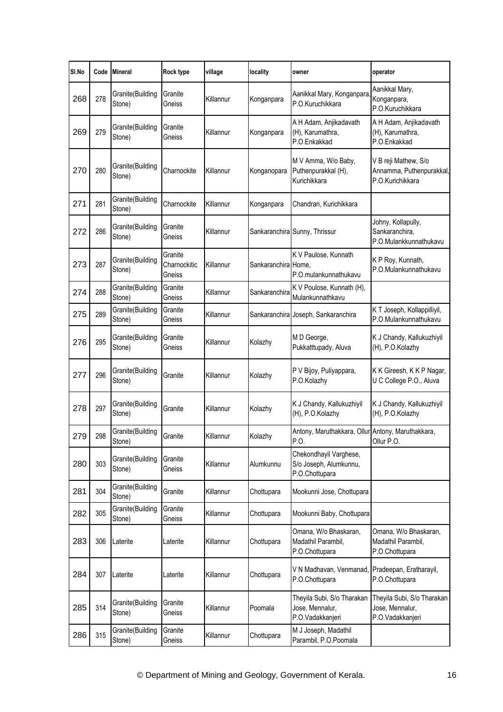| SI.No | Code | <b>Mineral</b>             | Rock type                         | village   | locality            | owner                                                              | operator                                                             |
|-------|------|----------------------------|-----------------------------------|-----------|---------------------|--------------------------------------------------------------------|----------------------------------------------------------------------|
| 268   | 278  | Granite(Building<br>Stone) | Granite<br>Gneiss                 | Killannur | Konganpara          | Aanikkal Mary, Konganpara<br>P.O.Kuruchikkara                      | Aanikkal Mary,<br>Konganpara,<br>P.O.Kuruchikkara                    |
| 269   | 279  | Granite(Building<br>Stone) | Granite<br>Gneiss                 | Killannur | Konganpara          | A H Adam, Anjikadavath<br>(H), Karumathra,<br>P.O.Enkakkad         | A H Adam, Anjikadavath<br>(H), Karumathra,<br>P.O.Enkakkad           |
| 270   | 280  | Granite(Building<br>Stone) | Charnockite                       | Killannur | Konganopara         | M V Amma, W/o Baby,<br>Puthenpurakkal (H),<br>Kurichikkara         | V B reji Mathew, S/o<br>Annamma, Puthenpurakkal,<br>P.O.Kurichikkara |
| 271   | 281  | Granite(Building<br>Stone) | Charnockite                       | Killannur | Konganpara          | Chandran, Kurichikkara                                             |                                                                      |
| 272   | 286  | Granite(Building<br>Stone) | Granite<br>Gneiss                 | Killannur |                     | Sankaranchira Sunny, Thrissur                                      | Johny, Kollapully,<br>Sankaranchira,<br>P.O.Mulankkunnathukavu       |
| 273   | 287  | Granite(Building<br>Stone) | Granite<br>Charnockitic<br>Gneiss | Killannur | Sankaranchira Home, | K V Paulose, Kunnath<br>P.O.mulankunnathukavu                      | K P Roy, Kunnath,<br>P.O.Mulankunnathukavu                           |
| 274   | 288  | Granite(Building<br>Stone) | Granite<br>Gneiss                 | Killannur | Sankaranchira       | K V Poulose, Kunnath (H),<br>Mulankunnathkavu                      |                                                                      |
| 275   | 289  | Granite(Building<br>Stone) | Granite<br>Gneiss                 | Killannur |                     | Sankaranchira Joseph, Sankaranchira                                | K T Joseph, Kollappilliyil,<br>P.O.Mulankunnathukavu                 |
| 276   | 295  | Granite(Building<br>Stone) | Granite<br>Gneiss                 | Killannur | Kolazhy             | M D George,<br>Pukkatttupady, Aluva                                | K J Chandy, Kallukuzhiyil<br>(H), P.O.Kolazhy                        |
| 277   | 296  | Granite(Building<br>Stone) | Granite                           | Killannur | Kolazhy             | P V Bijoy, Puliyappara,<br>P.O.Kolazhy                             | K K Gireesh, K K P Nagar,<br>U C College P.O., Aluva                 |
| 278   | 297  | Granite(Building<br>Stone) | Granite                           | Killannur | Kolazhy             | K J Chandy, Kallukuzhiyil<br>(H), P.O.Kolazhy                      | K J Chandy, Kallukuzhiyil<br>(H), P.O.Kolazhy                        |
| 279   | 298  | Granite(Building<br>Stone) | Granite                           | Killannur | Kolazhy             | Antony, Maruthakkara, Ollur Antony, Maruthakkara,<br>P.O.          | Ollur P.O.                                                           |
| 280   | 303  | Granite(Building<br>Stone) | Granite<br>Gneiss                 | Killannur | Alumkunnu           | Chekondhayil Varghese,<br>S/o Joseph, Alumkunnu,<br>P.O.Chottupara |                                                                      |
| 281   | 304  | Granite(Building<br>Stone) | Granite                           | Killannur | Chottupara          | Mookunni Jose, Chottupara                                          |                                                                      |
| 282   | 305  | Granite(Building<br>Stone) | Granite<br>Gneiss                 | Killannur | Chottupara          | Mookunni Baby, Chottupara                                          |                                                                      |
| 283   | 306  | Laterite                   | Laterite                          | Killannur | Chottupara          | Omana, W/o Bhaskaran,<br>Madathil Parambil,<br>P.O.Chottupara      | Omana, W/o Bhaskaran,<br>Madathil Parambil,<br>P.O.Chottupara        |
| 284   | 307  | Laterite                   | Laterite                          | Killannur | Chottupara          | V N Madhavan, Venmanad, Pradeepan, Eratharayil,<br>P.O.Chottupara  | P.O.Chottupara                                                       |
| 285   | 314  | Granite(Building<br>Stone) | Granite<br>Gneiss                 | Killannur | Poomala             | Theyila Subi, S/o Tharakan<br>Jose, Mennalur,<br>P.O.Vadakkanjeri  | Theyila Subi, S/o Tharakan<br>Jose, Mennalur,<br>P.O.Vadakkanjeri    |
| 286   | 315  | Granite(Building<br>Stone) | Granite<br>Gneiss                 | Killannur | Chottupara          | M J Joseph, Madathil<br>Parambil, P.O.Poomala                      |                                                                      |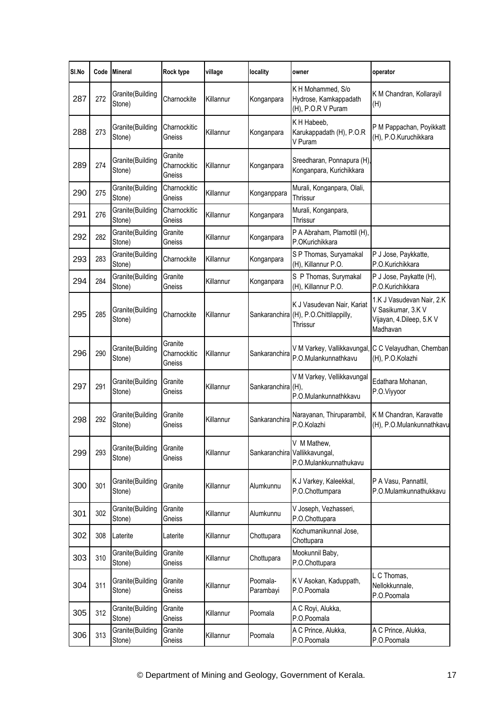| SI.No | Code | <b>Mineral</b>             | Rock type                         | village   | locality              | owner                                                                            | operator                                                                                |
|-------|------|----------------------------|-----------------------------------|-----------|-----------------------|----------------------------------------------------------------------------------|-----------------------------------------------------------------------------------------|
| 287   | 272  | Granite(Building<br>Stone) | Charnockite                       | Killannur | Konganpara            | K H Mohammed, S/o<br>Hydrose, Kamkappadath<br>(H), P.O.R V Puram                 | K M Chandran, Kollarayil<br>(H)                                                         |
| 288   | 273  | Granite(Building<br>Stone) | Charnockitic<br>Gneiss            | Killannur | Konganpara            | KH Habeeb,<br>Karukappadath (H), P.O.R<br>V Puram                                | P M Pappachan, Poyikkatt<br>(H), P.O.Kuruchikkara                                       |
| 289   | 274  | Granite(Building<br>Stone) | Granite<br>Charnockitic<br>Gneiss | Killannur | Konganpara            | Sreedharan, Ponnapura (H),<br>Konganpara, Kurichikkara                           |                                                                                         |
| 290   | 275  | Granite(Building<br>Stone) | Charnockitic<br>Gneiss            | Killannur | Konganppara           | Murali, Konganpara, Olali,<br>Thrissur                                           |                                                                                         |
| 291   | 276  | Granite(Building<br>Stone) | Charnockitic<br>Gneiss            | Killannur | Konganpara            | Murali, Konganpara,<br>Thrissur                                                  |                                                                                         |
| 292   | 282  | Granite(Building<br>Stone) | Granite<br>Gneiss                 | Killannur | Konganpara            | P A Abraham, Plamottil (H),<br>P.OKurichikkara                                   |                                                                                         |
| 293   | 283  | Granite(Building<br>Stone) | Charnockite                       | Killannur | Konganpara            | S P Thomas, Suryamakal<br>(H), Killannur P.O.                                    | P J Jose, Paykkatte,<br>P.O.Kurichikkara                                                |
| 294   | 284  | Granite(Building<br>Stone) | Granite<br>Gneiss                 | Killannur | Konganpara            | S P Thomas, Surymakal<br>(H), Killannur P.O.                                     | P J Jose, Paykatte (H),<br>P.O.Kurichikkara                                             |
| 295   | 285  | Granite(Building<br>Stone) | Charnockite                       | Killannur |                       | K J Vasudevan Nair, Kariat<br>Sankaranchira (H), P.O.Chittilappilly,<br>Thrissur | 1.K J Vasudevan Nair, 2.K<br>V Sasikumar, 3.K V<br>Vijayan, 4.Dileep, 5.K V<br>Madhavan |
| 296   | 290  | Granite(Building<br>Stone) | Granite<br>Charnockitic<br>Gneiss | Killannur | Sankaranchira         | V M Varkey, Vallikkavungal,<br>P.O.Mulankunnathkavu                              | C C Velayudhan, Chemban<br>(H), P.O.Kolazhi                                             |
| 297   | 291  | Granite(Building<br>Stone) | Granite<br>Gneiss                 | Killannur | Sankaranchira (H),    | V M Varkey, Vellikkavungal<br>P.O.Mulankunnathkkavu                              | Edathara Mohanan,<br>P.O.Viyyoor                                                        |
| 298   | 292  | Granite(Building<br>Stone) | Granite<br>Gneiss                 | Killannur | Sankaranchira         | Narayanan, Thiruparambil,<br>P.O.Kolazhi                                         | K M Chandran, Karavatte<br>(H), P.O.Mulankunnathkavu                                    |
| 299   | 293  | Granite(Building<br>Stone) | Granite<br>Gneiss                 | Killannur |                       | V M Mathew,<br>Sankaranchira Vallikkavungal,<br>P.O.Mulankkunnathukavu           |                                                                                         |
| 300   | 301  | Granite(Building<br>Stone) | Granite                           | Killannur | Alumkunnu             | K J Varkey, Kaleekkal,<br>P.O.Chottumpara                                        | P A Vasu, Pannattil,<br>P.O.Mulamkunnathukkavu                                          |
| 301   | 302  | Granite(Building<br>Stone) | Granite<br>Gneiss                 | Killannur | Alumkunnu             | V Joseph, Vezhasseri,<br>P.O.Chottupara                                          |                                                                                         |
| 302   | 308  | Laterite                   | Laterite                          | Killannur | Chottupara            | Kochumanikunnal Jose,<br>Chottupara                                              |                                                                                         |
| 303   | 310  | Granite(Building<br>Stone) | Granite<br>Gneiss                 | Killannur | Chottupara            | Mookunnil Baby,<br>P.O.Chottupara                                                |                                                                                         |
| 304   | 311  | Granite(Building<br>Stone) | Granite<br>Gneiss                 | Killannur | Poomala-<br>Parambayi | K V Asokan, Kaduppath,<br>P.O.Poomala                                            | L C Thomas,<br>Nellokkunnale,<br>P.O.Poomala                                            |
| 305   | 312  | Granite(Building<br>Stone) | Granite<br>Gneiss                 | Killannur | Poomala               | A C Royi, Alukka,<br>P.O.Poomala                                                 |                                                                                         |
| 306   | 313  | Granite(Building<br>Stone) | Granite<br>Gneiss                 | Killannur | Poomala               | A C Prince, Alukka,<br>P.O.Poomala                                               | A C Prince, Alukka,<br>P.O.Poomala                                                      |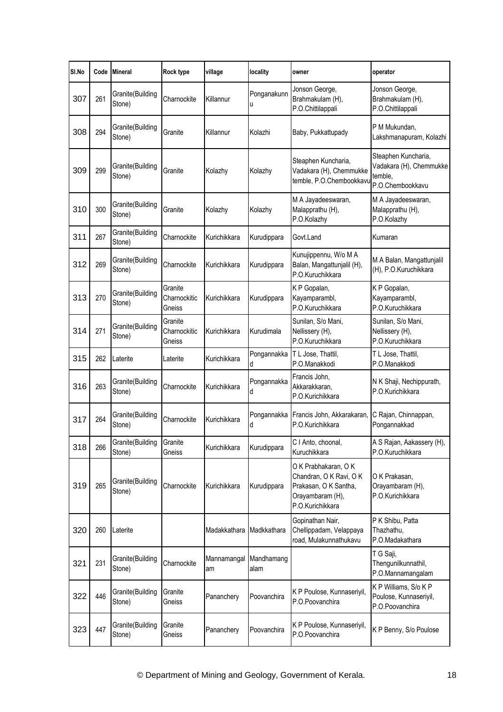| SI.No | Code | <b>Mineral</b>             | Rock type                         | village                      | locality         | owner                                                                                                            | operator                                                                      |
|-------|------|----------------------------|-----------------------------------|------------------------------|------------------|------------------------------------------------------------------------------------------------------------------|-------------------------------------------------------------------------------|
| 307   | 261  | Granite(Building<br>Stone) | Charnockite                       | Killannur                    | Ponganakunn<br>u | Jonson George,<br>Brahmakulam (H),<br>P.O.Chittilappali                                                          | Jonson George,<br>Brahmakulam (H),<br>P.O.Chittilappali                       |
| 308   | 294  | Granite(Building<br>Stone) | Granite                           | Killannur                    | Kolazhi          | Baby, Pukkattupady                                                                                               | P M Mukundan,<br>Lakshmanapuram, Kolazhi                                      |
| 309   | 299  | Granite(Building<br>Stone) | Granite                           | Kolazhy                      | Kolazhy          | Steaphen Kuncharia,<br>Vadakara (H), Chemmukke<br>temble, P.O.Chembookkavu                                       | Steaphen Kuncharia,<br>Vadakara (H), Chemmukke<br>temble.<br>P.O.Chembookkavu |
| 310   | 300  | Granite(Building<br>Stone) | Granite                           | Kolazhy                      | Kolazhy          | M A Jayadeeswaran,<br>Malapprathu (H),<br>P.O.Kolazhy                                                            | M A Jayadeeswaran,<br>Malapprathu (H),<br>P.O.Kolazhy                         |
| 311   | 267  | Granite(Building<br>Stone) | Charnockite                       | Kurichikkara                 | Kurudippara      | Govt.Land                                                                                                        | Kumaran                                                                       |
| 312   | 269  | Granite(Building<br>Stone) | Charnockite                       | Kurichikkara                 | Kurudippara      | Kunujippennu, W/o M A<br>Balan, Mangattunjalil (H),<br>P.O.Kuruchikkara                                          | M A Balan, Mangattunjalil<br>(H), P.O.Kuruchikkara                            |
| 313   | 270  | Granite(Building<br>Stone) | Granite<br>Charnockitic<br>Gneiss | Kurichikkara                 | Kurudippara      | K P Gopalan,<br>Kayamparambl,<br>P.O.Kuruchikkara                                                                | K P Gopalan,<br>Kayamparambl,<br>P.O.Kuruchikkara                             |
| 314   | 271  | Granite(Building<br>Stone) | Granite<br>Charnockitic<br>Gneiss | Kurichikkara                 | Kurudimala       | Sunilan, S/o Mani,<br>Nellissery (H),<br>P.O.Kuruchikkara                                                        | Sunilan, S/o Mani,<br>Nellissery (H),<br>P.O.Kuruchikkara                     |
| 315   | 262  | Laterite                   | Laterite                          | Kurichikkara                 | Pongannakka<br>d | T L Jose, Thattil,<br>P.O.Manakkodi                                                                              | T L Jose, Thattil,<br>P.O.Manakkodi                                           |
| 316   | 263  | Granite(Building<br>Stone) | Charnockite                       | Kurichikkara                 | Pongannakka<br>d | Francis John,<br>Akkarakkaran,<br>P.O.Kurichikkara                                                               | N K Shaji, Nechippurath,<br>P.O.Kurichikkara                                  |
| 317   | 264  | Granite(Building<br>Stone) | Charnockite                       | Kurichikkara                 | Pongannakka<br>d | Francis John, Akkarakaran,<br>P.O.Kurichikkara                                                                   | C Rajan, Chinnappan,<br>Pongannakkad                                          |
| 318   | 266  | Granite(Building<br>Stone) | Granite<br>Gneiss                 | Kurichikkara                 | Kurudippara      | C I Anto, choonal,<br>Kuruchikkara                                                                               | A S Rajan, Aakassery (H),<br>P.O.Kuruchikkara                                 |
| 319   | 265  | Granite(Building<br>Stone) | Charnockite                       | Kurichikkara                 | Kurudippara      | O K Prabhakaran, O K<br>Chandran, O K Ravi, O K<br>Prakasan, O K Santha,<br>Orayambaram (H),<br>P.O.Kurichikkara | O K Prakasan,<br>Orayambaram (H),<br>P.O.Kurichikkara                         |
| 320   | 260  | Laterite                   |                                   | Madakkathara                 | Madkkathara      | Gopinathan Nair,<br>Chellippadam, Velappaya<br>road, Mulakunnathukavu                                            | P K Shibu, Patta<br>Thazhathu,<br>P.O.Madakathara                             |
| 321   | 231  | Granite(Building<br>Stone) | Charnockite                       | Mannamangal Mandhamang<br>am | alam             |                                                                                                                  | T G Saji,<br>Thengunilkunnathil,<br>P.O.Mannamangalam                         |
| 322   | 446  | Granite(Building<br>Stone) | Granite<br>Gneiss                 | Pananchery                   | Poovanchira      | K P Poulose, Kunnaseriyil,<br>P.O.Poovanchira                                                                    | K P Williams, S/o K P<br>Poulose, Kunnaseriyil,<br>P.O.Poovanchira            |
| 323   | 447  | Granite(Building<br>Stone) | Granite<br>Gneiss                 | Pananchery                   | Poovanchira      | K P Poulose, Kunnaseriyil,<br>P.O.Poovanchira                                                                    | K P Benny, S/o Poulose                                                        |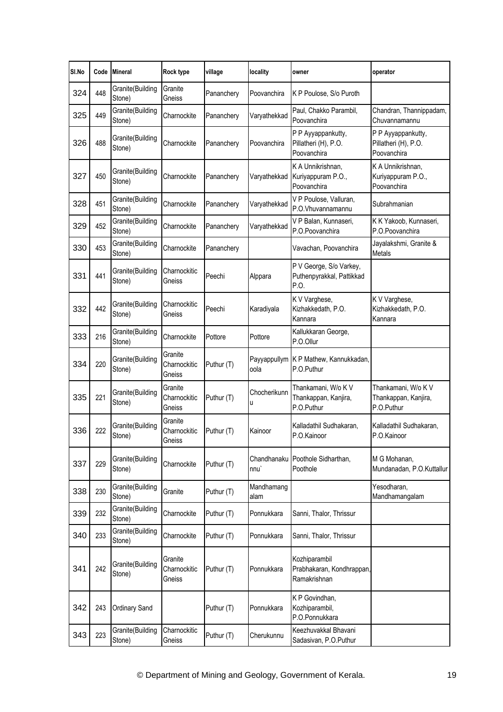| SI.No | Code | <b>Mineral</b>             | Rock type                         | village    | locality                        | owner                                                        | operator                                                  |
|-------|------|----------------------------|-----------------------------------|------------|---------------------------------|--------------------------------------------------------------|-----------------------------------------------------------|
| 324   | 448  | Granite(Building<br>Stone) | Granite<br>Gneiss                 | Pananchery | Poovanchira                     | K P Poulose, S/o Puroth                                      |                                                           |
| 325   | 449  | Granite(Building<br>Stone) | Charnockite                       | Pananchery | Varyathekkad                    | Paul, Chakko Parambil,<br>Poovanchira                        | Chandran, Thannippadam,<br>Chuvannamannu                  |
| 326   | 488  | Granite(Building<br>Stone) | Charnockite                       | Pananchery | Poovanchira                     | P P Ayyappankutty,<br>Pillatheri (H), P.O.<br>Poovanchira    | P P Ayyappankutty,<br>Pillatheri (H), P.O.<br>Poovanchira |
| 327   | 450  | Granite(Building<br>Stone) | Charnockite                       | Pananchery | Varyathekkad                    | K A Unnikrishnan,<br>Kuriyappuram P.O.,<br>Poovanchira       | K A Unnikrishnan,<br>Kuriyappuram P.O.,<br>Poovanchira    |
| 328   | 451  | Granite(Building<br>Stone) | Charnockite                       | Pananchery | Varyathekkad                    | V P Poulose, Valluran,<br>P.O.Vhuvannamannu                  | Subrahmanian                                              |
| 329   | 452  | Granite(Building<br>Stone) | Charnockite                       | Pananchery | Varyathekkad                    | V P Balan, Kunnaseri,<br>P.O.Poovanchira                     | K K Yakoob, Kunnaseri,<br>P.O.Poovanchira                 |
| 330   | 453  | Granite(Building<br>Stone) | Charnockite                       | Pananchery |                                 | Vavachan, Poovanchira                                        | Jayalakshmi, Granite &<br>Metals                          |
| 331   | 441  | Granite(Building<br>Stone) | Charnockitic<br>Gneiss            | Peechi     | Alppara                         | P V George, S/o Varkey,<br>Puthenpyrakkal, Pattikkad<br>P.O. |                                                           |
| 332   | 442  | Granite(Building<br>Stone) | Charnockitic<br>Gneiss            | Peechi     | Karadiyala                      | K V Varghese,<br>Kizhakkedath, P.O.<br>Kannara               | K V Varghese,<br>Kizhakkedath, P.O.<br>Kannara            |
| 333   | 216  | Granite(Building<br>Stone) | Charnockite                       | Pottore    | Pottore                         | Kallukkaran George,<br>P.O.Ollur                             |                                                           |
| 334   | 220  | Granite(Building<br>Stone) | Granite<br>Charnockitic<br>Gneiss | Puthur (T) | oola                            | Payyappullym K P Mathew, Kannukkadan,<br>P.O.Puthur          |                                                           |
| 335   | 221  | Granite(Building<br>Stone) | Granite<br>Charnockitic<br>Gneiss | Puthur (T) | Chocherikunn<br>u               | Thankamani, W/o K V<br>Thankappan, Kanjira,<br>P.O.Puthur    | Thankamani, W/o K V<br>Thankappan, Kanjira,<br>P.O.Puthur |
| 336   | 222  | Granite(Building<br>Stone) | Granite<br>Charnockitic<br>Gneiss | Puthur (T) | Kainoor                         | Kalladathil Sudhakaran,<br>P.O.Kainoor                       | Kalladathil Sudhakaran,<br>P.O.Kainoor                    |
| 337   | 229  | Granite(Building<br>Stone) | Charnockite                       | Puthur (T) | Chandhanaku<br>nnu <sup>'</sup> | Poothole Sidharthan,<br>Poothole                             | M G Mohanan,<br>Mundanadan, P.O.Kuttallur                 |
| 338   | 230  | Granite(Building<br>Stone) | Granite                           | Puthur (T) | Mandhamang<br>alam              |                                                              | Yesodharan,<br>Mandhamangalam                             |
| 339   | 232  | Granite(Building<br>Stone) | Charnockite                       | Puthur (T) | Ponnukkara                      | Sanni, Thalor, Thrissur                                      |                                                           |
| 340   | 233  | Granite(Building<br>Stone) | Charnockite                       | Puthur (T) | Ponnukkara                      | Sanni, Thalor, Thrissur                                      |                                                           |
| 341   | 242  | Granite(Building<br>Stone) | Granite<br>Charnockitic<br>Gneiss | Puthur (T) | Ponnukkara                      | Kozhiparambil<br>Prabhakaran, Kondhrappan,<br>Ramakrishnan   |                                                           |
| 342   | 243  | Ordinary Sand              |                                   | Puthur (T) | Ponnukkara                      | K P Govindhan,<br>Kozhiparambil,<br>P.O.Ponnukkara           |                                                           |
| 343   | 223  | Granite(Building<br>Stone) | Charnockitic<br>Gneiss            | Puthur (T) | Cherukunnu                      | Keezhuvakkal Bhavani<br>Sadasivan, P.O.Puthur                |                                                           |